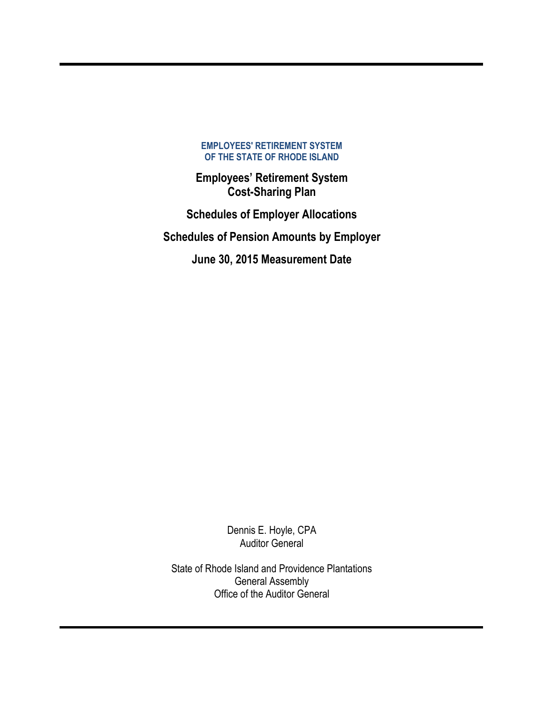**Employees' Retirement System Cost-Sharing Plan**

**Schedules of Employer Allocations Schedules of Pension Amounts by Employer June 30, 2015 Measurement Date** 

> Dennis E. Hoyle, CPA Auditor General

State of Rhode Island and Providence Plantations General Assembly Office of the Auditor General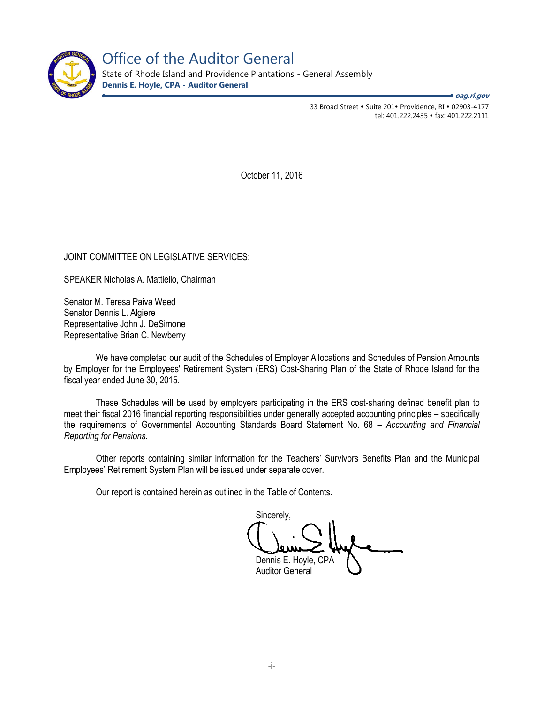

Office of the Auditor General

State of Rhode Island and Providence Plantations - General Assembly **Dennis E. Hoyle, CPA - Auditor General**

**oag.ri.gov**

33 Broad Street • Suite 201• Providence, RI • 02903-4177 tel: 401.222.2435 · fax: 401.222.2111

October 11, 2016

### JOINT COMMITTEE ON LEGISLATIVE SERVICES:

SPEAKER Nicholas A. Mattiello, Chairman

Senator M. Teresa Paiva Weed Senator Dennis L. Algiere Representative John J. DeSimone Representative Brian C. Newberry

We have completed our audit of the Schedules of Employer Allocations and Schedules of Pension Amounts by Employer for the Employees' Retirement System (ERS) Cost-Sharing Plan of the State of Rhode Island for the fiscal year ended June 30, 2015.

These Schedules will be used by employers participating in the ERS cost-sharing defined benefit plan to meet their fiscal 2016 financial reporting responsibilities under generally accepted accounting principles – specifically the requirements of Governmental Accounting Standards Board Statement No. 68 – *Accounting and Financial Reporting for Pensions.* 

Other reports containing similar information for the Teachers' Survivors Benefits Plan and the Municipal Employees' Retirement System Plan will be issued under separate cover.

Our report is contained herein as outlined in the Table of Contents.

Sincerely, Dennis E. Hoyle, CPA Auditor General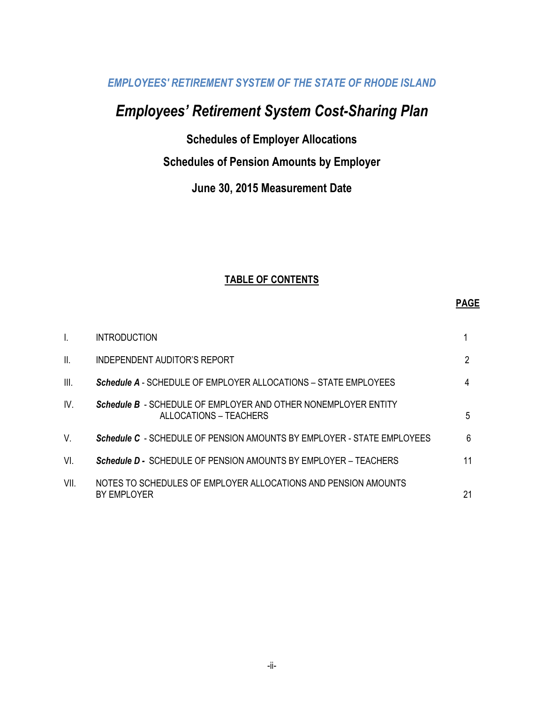# *Employees' Retirement System Cost-Sharing Plan*

**Schedules of Employer Allocations**

# **Schedules of Pension Amounts by Employer**

**June 30, 2015 Measurement Date**

### **TABLE OF CONTENTS**

#### **PAGE**

| I.              | <b>INTRODUCTION</b>                                                                      |    |
|-----------------|------------------------------------------------------------------------------------------|----|
| $\mathbf{II}$ . | INDEPENDENT AUDITOR'S REPORT                                                             | 2  |
| III.            | <b>Schedule A</b> - SCHEDULE OF EMPLOYER ALLOCATIONS – STATE EMPLOYEES                   | 4  |
| IV.             | Schedule B - SCHEDULE OF EMPLOYER AND OTHER NONEMPLOYER ENTITY<br>ALLOCATIONS – TEACHERS | 5  |
| V.              | <b>Schedule C</b> - SCHEDULE OF PENSION AMOUNTS BY EMPLOYER - STATE EMPLOYEES            | 6  |
| VI.             | <b>Schedule D - SCHEDULE OF PENSION AMOUNTS BY EMPLOYER – TEACHERS</b>                   | 11 |
| VII.            | NOTES TO SCHEDULES OF EMPLOYER ALLOCATIONS AND PENSION AMOUNTS<br>BY EMPLOYER            | 21 |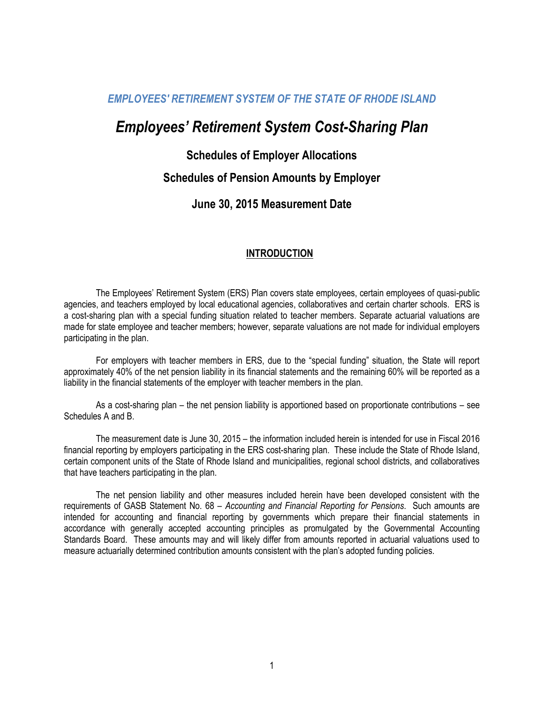# *Employees' Retirement System Cost-Sharing Plan*

### **Schedules of Employer Allocations**

### **Schedules of Pension Amounts by Employer**

### **June 30, 2015 Measurement Date**

### **INTRODUCTION**

The Employees' Retirement System (ERS) Plan covers state employees, certain employees of quasi-public agencies, and teachers employed by local educational agencies, collaboratives and certain charter schools. ERS is a cost-sharing plan with a special funding situation related to teacher members. Separate actuarial valuations are made for state employee and teacher members; however, separate valuations are not made for individual employers participating in the plan.

For employers with teacher members in ERS, due to the "special funding" situation, the State will report approximately 40% of the net pension liability in its financial statements and the remaining 60% will be reported as a liability in the financial statements of the employer with teacher members in the plan.

As a cost-sharing plan – the net pension liability is apportioned based on proportionate contributions – see Schedules A and B.

The measurement date is June 30, 2015 – the information included herein is intended for use in Fiscal 2016 financial reporting by employers participating in the ERS cost-sharing plan. These include the State of Rhode Island, certain component units of the State of Rhode Island and municipalities, regional school districts, and collaboratives that have teachers participating in the plan.

The net pension liability and other measures included herein have been developed consistent with the requirements of GASB Statement No. 68 – *Accounting and Financial Reporting for Pensions*. Such amounts are intended for accounting and financial reporting by governments which prepare their financial statements in accordance with generally accepted accounting principles as promulgated by the Governmental Accounting Standards Board. These amounts may and will likely differ from amounts reported in actuarial valuations used to measure actuarially determined contribution amounts consistent with the plan's adopted funding policies.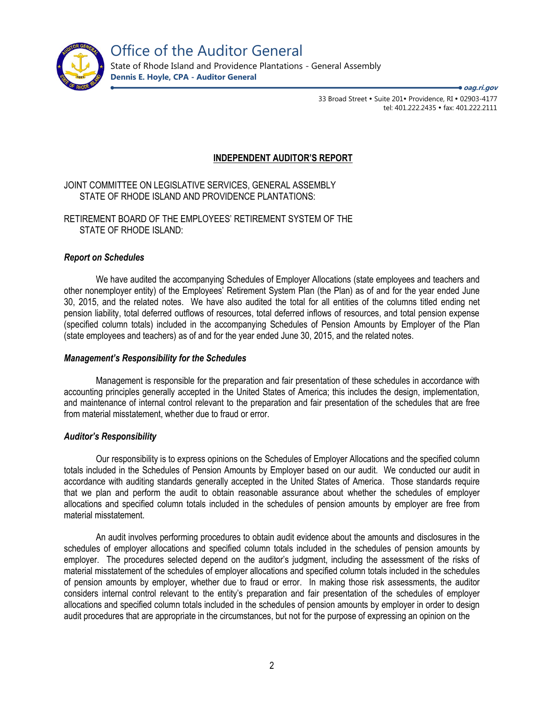

Office of the Auditor General

State of Rhode Island and Providence Plantations - General Assembly **Dennis E. Hoyle, CPA - Auditor General**

> 33 Broad Street • Suite 201• Providence, RI • 02903-4177 tel: 401.222.2435 · fax: 401.222.2111

**oag.ri.gov**

### **INDEPENDENT AUDITOR'S REPORT**

JOINT COMMITTEE ON LEGISLATIVE SERVICES, GENERAL ASSEMBLY STATE OF RHODE ISLAND AND PROVIDENCE PLANTATIONS:

RETIREMENT BOARD OF THE EMPLOYEES' RETIREMENT SYSTEM OF THE STATE OF RHODE ISLAND:

#### *Report on Schedules*

We have audited the accompanying Schedules of Employer Allocations (state employees and teachers and other nonemployer entity) of the Employees' Retirement System Plan (the Plan) as of and for the year ended June 30, 2015, and the related notes. We have also audited the total for all entities of the columns titled ending net pension liability, total deferred outflows of resources, total deferred inflows of resources, and total pension expense (specified column totals) included in the accompanying Schedules of Pension Amounts by Employer of the Plan (state employees and teachers) as of and for the year ended June 30, 2015, and the related notes.

#### *Management's Responsibility for the Schedules*

Management is responsible for the preparation and fair presentation of these schedules in accordance with accounting principles generally accepted in the United States of America; this includes the design, implementation, and maintenance of internal control relevant to the preparation and fair presentation of the schedules that are free from material misstatement, whether due to fraud or error.

#### *Auditor's Responsibility*

Our responsibility is to express opinions on the Schedules of Employer Allocations and the specified column totals included in the Schedules of Pension Amounts by Employer based on our audit. We conducted our audit in accordance with auditing standards generally accepted in the United States of America. Those standards require that we plan and perform the audit to obtain reasonable assurance about whether the schedules of employer allocations and specified column totals included in the schedules of pension amounts by employer are free from material misstatement.

An audit involves performing procedures to obtain audit evidence about the amounts and disclosures in the schedules of employer allocations and specified column totals included in the schedules of pension amounts by employer. The procedures selected depend on the auditor's judgment, including the assessment of the risks of material misstatement of the schedules of employer allocations and specified column totals included in the schedules of pension amounts by employer, whether due to fraud or error. In making those risk assessments, the auditor considers internal control relevant to the entity's preparation and fair presentation of the schedules of employer allocations and specified column totals included in the schedules of pension amounts by employer in order to design audit procedures that are appropriate in the circumstances, but not for the purpose of expressing an opinion on the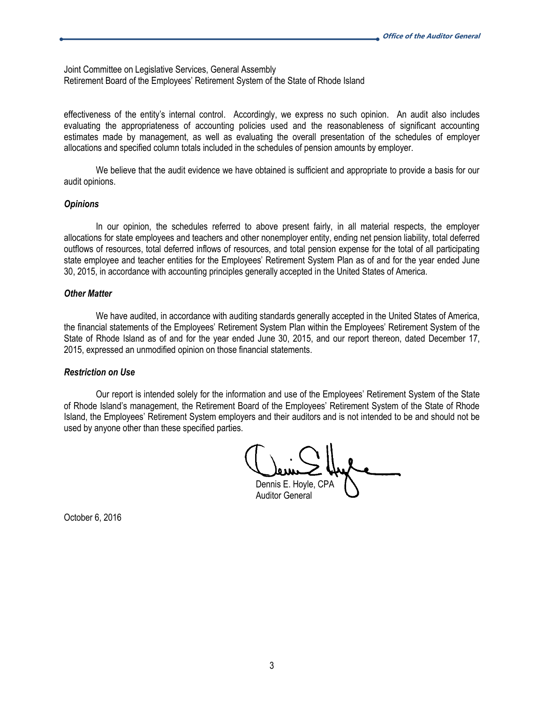Joint Committee on Legislative Services, General Assembly Retirement Board of the Employees' Retirement System of the State of Rhode Island

effectiveness of the entity's internal control. Accordingly, we express no such opinion. An audit also includes evaluating the appropriateness of accounting policies used and the reasonableness of significant accounting estimates made by management, as well as evaluating the overall presentation of the schedules of employer allocations and specified column totals included in the schedules of pension amounts by employer.

We believe that the audit evidence we have obtained is sufficient and appropriate to provide a basis for our audit opinions.

#### *Opinions*

In our opinion, the schedules referred to above present fairly, in all material respects, the employer allocations for state employees and teachers and other nonemployer entity, ending net pension liability, total deferred outflows of resources, total deferred inflows of resources, and total pension expense for the total of all participating state employee and teacher entities for the Employees' Retirement System Plan as of and for the year ended June 30, 2015, in accordance with accounting principles generally accepted in the United States of America.

#### *Other Matter*

We have audited, in accordance with auditing standards generally accepted in the United States of America, the financial statements of the Employees' Retirement System Plan within the Employees' Retirement System of the State of Rhode Island as of and for the year ended June 30, 2015, and our report thereon, dated December 17, 2015, expressed an unmodified opinion on those financial statements.

#### *Restriction on Use*

Our report is intended solely for the information and use of the Employees' Retirement System of the State of Rhode Island's management, the Retirement Board of the Employees' Retirement System of the State of Rhode Island, the Employees' Retirement System employers and their auditors and is not intended to be and should not be used by anyone other than these specified parties.

Dennis E. Hoyle, CPA Auditor General

October 6, 2016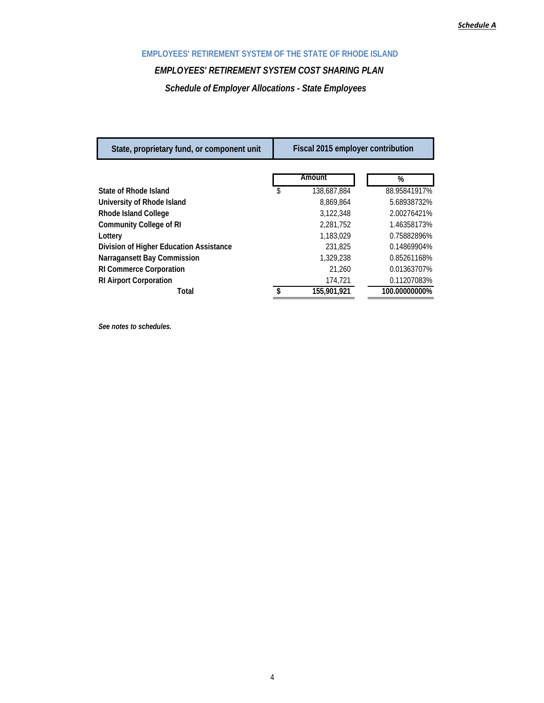### *EMPLOYEES' RETIREMENT SYSTEM COST SHARING PLAN*

*Schedule of Employer Allocations - State Employees* 

| State, proprietary fund, or component unit | Fiscal 2015 employer contribution |               |
|--------------------------------------------|-----------------------------------|---------------|
|                                            | Amount                            | %             |
| State of Rhode Island                      | \$<br>138,687,884                 | 88.95841917%  |
| University of Rhode Island                 | 8.869.864                         | 5.68938732%   |
| Rhode Island College                       | 3,122,348                         | 2.00276421%   |
| <b>Community College of RI</b>             | 2.281.752                         | 1.46358173%   |
| Lottery                                    | 1.183.029                         | 0.75882896%   |
| Division of Higher Education Assistance    | 231,825                           | 0.14869904%   |
| Narragansett Bay Commission                | 1,329,238                         | 0.85261168%   |
| <b>RI Commerce Corporation</b>             | 21,260                            | 0.01363707%   |
| <b>RI Airport Corporation</b>              | 174.721                           | 0.11207083%   |
| Total                                      | 155.901.921                       | 100.00000000% |

*See notes to schedules.*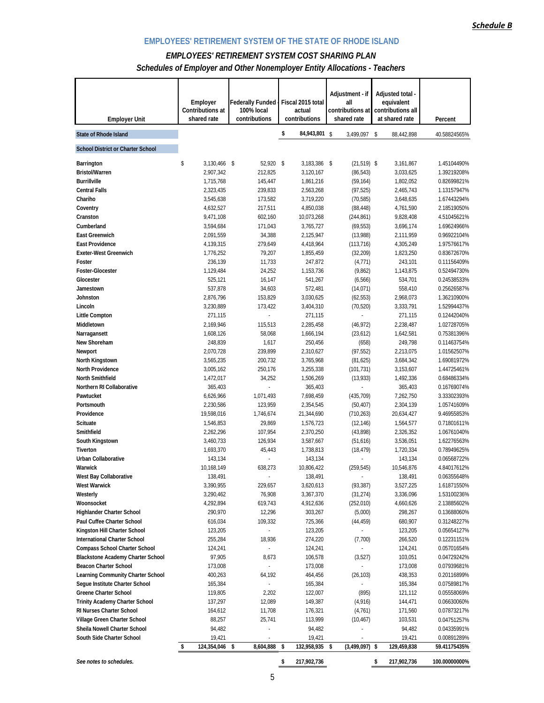### *EMPLOYEES' RETIREMENT SYSTEM COST SHARING PLAN Schedules of Employer and Other Nonemployer Entity Allocations - Teachers*

| <b>Employer Unit</b>                           | Employer<br>Contributions at<br>shared rate | <b>Federally Funded</b><br>100% local<br>contributions | Fiscal 2015 total<br>actual<br>contributions | Adjustment - if<br>all<br>contributions at<br>shared rate | Adjusted total -<br>equivalent<br>contributions all<br>at shared rate | Percent                     |
|------------------------------------------------|---------------------------------------------|--------------------------------------------------------|----------------------------------------------|-----------------------------------------------------------|-----------------------------------------------------------------------|-----------------------------|
| <b>State of Rhode Island</b>                   |                                             |                                                        | \$<br>84,943,801 \$                          | 3,499,097                                                 | -\$<br>88,442,898                                                     | 40.58824565%                |
| <b>School District or Charter School</b>       |                                             |                                                        |                                              |                                                           |                                                                       |                             |
| Barrington                                     | \$<br>3,130,466 \$                          | 52,920 \$                                              | 3,183,386 \$                                 | $(21, 519)$ \$                                            | 3,161,867                                                             | 1.45104490%                 |
| <b>Bristol/Warren</b>                          | 2,907,342                                   | 212,825                                                | 3,120,167                                    | (86, 543)                                                 | 3,033,625                                                             | 1.39219208%                 |
| <b>Burrillville</b>                            | 1,715,768                                   | 145,447                                                | 1,861,216                                    | (59, 164)                                                 | 1,802,052                                                             | 0.82699821%                 |
| <b>Central Falls</b>                           | 2,323,435                                   | 239,833                                                | 2,563,268                                    | (97, 525)                                                 | 2,465,743                                                             | 1.13157947%                 |
| Chariho                                        | 3,545,638                                   | 173,582                                                | 3,719,220                                    | (70, 585)                                                 | 3,648,635                                                             | 1.67443294%                 |
| Coventry<br>Cranston                           | 4,632,527<br>9,471,108                      | 217,511<br>602,160                                     | 4,850,038<br>10,073,268                      | (88, 448)<br>(244, 861)                                   | 4,761,590<br>9,828,408                                                | 2.18519050%<br>4.51045621%  |
| Cumberland                                     | 3,594,684                                   | 171,043                                                | 3,765,727                                    | (69, 553)                                                 | 3,696,174                                                             | 1.69624966%                 |
| <b>East Greenwich</b>                          | 2,091,559                                   | 34,388                                                 | 2,125,947                                    | (13,988)                                                  | 2,111,959                                                             | 0.96922104%                 |
| <b>East Providence</b>                         | 4,139,315                                   | 279,649                                                | 4,418,964                                    | (113, 716)                                                | 4,305,249                                                             | 1.97576617%                 |
| <b>Exeter-West Greenwich</b>                   | 1,776,252                                   | 79,207                                                 | 1,855,459                                    | (32, 209)                                                 | 1,823,250                                                             | 0.83672670%                 |
| Foster                                         | 236,139                                     | 11,733                                                 | 247,872                                      | (4, 771)                                                  | 243,101                                                               | 0.11156409%                 |
| <b>Foster-Glocester</b>                        | 1,129,484                                   | 24,252                                                 | 1,153,736                                    | (9,862)                                                   | 1,143,875                                                             | 0.52494730%                 |
| Glocester                                      | 525,121                                     | 16,147                                                 | 541,267                                      | (6, 566)                                                  | 534,701                                                               | 0.24538533%                 |
| Jamestown                                      | 537,878                                     | 34,603                                                 | 572,481                                      | (14, 071)                                                 | 558,410                                                               | 0.25626587%                 |
| Johnston                                       | 2,876,796                                   | 153,829                                                | 3,030,625                                    | (62, 553)                                                 | 2,968,073                                                             | 1.36210900%                 |
| Lincoln                                        | 3,230,889                                   | 173,422                                                | 3,404,310                                    | (70, 520)                                                 | 3,333,791                                                             | 1.52994437%                 |
| Little Compton                                 | 271,115                                     |                                                        | 271,115                                      |                                                           | 271,115                                                               | 0.12442040%                 |
| Middletown                                     | 2,169,946                                   | 115,513                                                | 2,285,458                                    | (46, 972)                                                 | 2,238,487                                                             | 1.02728705%                 |
| Narragansett                                   | 1,608,126                                   | 58,068                                                 | 1,666,194                                    | (23, 612)                                                 | 1,642,581                                                             | 0.75381396%                 |
| New Shoreham                                   | 248,839                                     | 1,617                                                  | 250,456                                      | (658)                                                     | 249,798                                                               | 0.11463754%                 |
| Newport<br>North Kingstown                     | 2,070,728<br>3,565,235                      | 239,899<br>200,732                                     | 2,310,627<br>3,765,968                       | (97, 552)<br>(81, 625)                                    | 2,213,075<br>3,684,342                                                | 1.01562507%<br>1.69081972%  |
| North Providence                               | 3,005,162                                   | 250,176                                                | 3,255,338                                    | (101, 731)                                                | 3,153,607                                                             | 1.44725461%                 |
| <b>North Smithfield</b>                        | 1,472,017                                   | 34,252                                                 | 1,506,269                                    | (13, 933)                                                 | 1,492,336                                                             | 0.68486334%                 |
| Northern RI Collaborative                      | 365,403                                     |                                                        | 365,403                                      |                                                           | 365,403                                                               | 0.16769074%                 |
| Pawtucket                                      | 6,626,966                                   | 1,071,493                                              | 7,698,459                                    | (435, 709)                                                | 7,262,750                                                             | 3.33302393%                 |
| Portsmouth                                     | 2,230,586                                   | 123,959                                                | 2,354,545                                    | (50, 407)                                                 | 2,304,139                                                             | 1.05741609%                 |
| Providence                                     | 19,598,016                                  | 1,746,674                                              | 21,344,690                                   | (710, 263)                                                | 20,634,427                                                            | 9.46955853%                 |
| <b>Scituate</b>                                | 1,546,853                                   | 29,869                                                 | 1,576,723                                    | (12, 146)                                                 | 1,564,577                                                             | 0.71801611%                 |
| Smithfield                                     | 2,262,296                                   | 107,954                                                | 2,370,250                                    | (43,898)                                                  | 2,326,352                                                             | 1.06761040%                 |
| South Kingstown                                | 3,460,733                                   | 126,934                                                | 3,587,667                                    | (51,616)                                                  | 3,536,051                                                             | 1.62276563%                 |
| Tiverton                                       | 1,693,370                                   | 45,443                                                 | 1,738,813                                    | (18, 479)                                                 | 1,720,334                                                             | 0.78949625%                 |
| Urban Collaborative                            | 143,134                                     |                                                        | 143,134                                      |                                                           | 143,134                                                               | 0.06568722%                 |
| Warwick                                        | 10,168,149                                  | 638,273                                                | 10,806,422                                   | (259, 545)                                                | 10,546,876                                                            | 4.84017612%                 |
| West Bay Collaborative                         | 138,491                                     |                                                        | 138,491                                      |                                                           | 138,491                                                               | 0.06355648%                 |
| <b>West Warwick</b>                            | 3,390,955                                   | 229,657                                                | 3,620,613                                    | (93, 387)                                                 | 3,527,225                                                             | 1.61871550%                 |
| Westerly                                       | 3,290,462                                   | 76,908                                                 | 3,367,370                                    | (31, 274)                                                 | 3,336,096                                                             | 1.53100236%                 |
| Woonsocket<br><b>Highlander Charter School</b> | 4,292,894<br>290,970                        | 619,743<br>12,296                                      | 4,912,636<br>303,267                         | (252,010)                                                 | 4,660,626<br>298,267                                                  | 2.13885602%                 |
| Paul Cuffee Charter School                     | 616,034                                     | 109,332                                                | 725,366                                      | (5,000)<br>(44, 459)                                      | 680,907                                                               | 0.13688060%<br>0.31248227%  |
| Kingston Hill Charter School                   | 123,205                                     |                                                        | 123,205                                      |                                                           | 123,205                                                               | 0.05654127%                 |
| <b>International Charter School</b>            | 255,284                                     | 18,936                                                 | 274,220                                      | (7,700)                                                   | 266,520                                                               | 0.12231151%                 |
| <b>Compass School Charter School</b>           | 124,241                                     | ÷,                                                     | 124,241                                      |                                                           | 124,241                                                               | 0.05701654%                 |
| <b>Blackstone Academy Charter School</b>       | 97,905                                      | 8,673                                                  | 106,578                                      | (3, 527)                                                  | 103,051                                                               | 0.04729242%                 |
| Beacon Charter School                          | 173,008                                     | ÷.                                                     | 173,008                                      | ÷.                                                        | 173,008                                                               | 0.07939681%                 |
| Learning Community Charter School              | 400,263                                     | 64,192                                                 | 464,456                                      | (26, 103)                                                 | 438,353                                                               | 0.20116899%                 |
| Seque Institute Charter School                 | 165,384                                     |                                                        | 165,384                                      |                                                           | 165,384                                                               | 0.07589817%                 |
| <b>Greene Charter School</b>                   | 119,805                                     | 2,202                                                  | 122,007                                      | (895)                                                     | 121,112                                                               | 0.05558069%                 |
| Trinity Academy Charter School                 | 137,297                                     | 12,089                                                 | 149,387                                      | (4,916)                                                   | 144,471                                                               | 0.06630060%                 |
| RI Nurses Charter School                       | 164,612                                     | 11,708                                                 | 176,321                                      | (4,761)                                                   | 171,560                                                               | 0.07873217%                 |
| Village Green Charter School                   | 88,257                                      | 25,741                                                 | 113,999                                      | (10, 467)                                                 | 103,531                                                               | 0.04751257%                 |
| Sheila Nowell Charter School                   | 94,482                                      |                                                        | 94,482                                       |                                                           | 94,482                                                                | 0.04335991%                 |
| South Side Charter School                      | 19,421<br>124,354,046<br>\$                 | 8,604,888<br>\$                                        | 19,421<br>\$<br>132,958,935                  | $(3,499,097)$ \$<br>\$                                    | 19,421<br>129,459,838                                                 | 0.00891289%<br>59.41175435% |
|                                                |                                             |                                                        |                                              |                                                           |                                                                       |                             |
| See notes to schedules.                        |                                             |                                                        | \$<br>217,902,736                            |                                                           | \$<br>217,902,736                                                     | 100.00000000%               |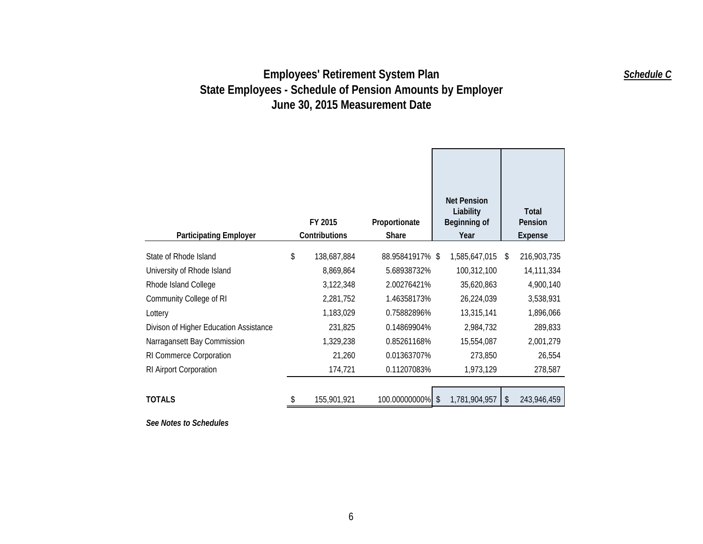|                                        |                   |                 | <b>Net Pension</b>        |    |                  |
|----------------------------------------|-------------------|-----------------|---------------------------|----|------------------|
|                                        | FY 2015           | Proportionate   | Liability<br>Beginning of |    | Total<br>Pension |
| <b>Participating Employer</b>          | Contributions     | <b>Share</b>    | Year                      |    | <b>Expense</b>   |
| State of Rhode Island                  | \$<br>138,687,884 | 88.95841917% \$ | 1,585,647,015             | -S | 216,903,735      |
| University of Rhode Island             | 8,869,864         | 5.68938732%     | 100,312,100               |    | 14,111,334       |
| Rhode Island College                   | 3,122,348         | 2.00276421%     | 35,620,863                |    | 4,900,140        |
| Community College of RI                | 2,281,752         | 1.46358173%     | 26,224,039                |    | 3,538,931        |
| Lottery                                | 1,183,029         | 0.75882896%     | 13,315,141                |    | 1,896,066        |
| Divison of Higher Education Assistance | 231,825           | 0.14869904%     | 2,984,732                 |    | 289,833          |
| Narragansett Bay Commission            | 1,329,238         | 0.85261168%     | 15,554,087                |    | 2,001,279        |
| RI Commerce Corporation                | 21,260            | 0.01363707%     | 273,850                   |    | 26,554           |
| RI Airport Corporation                 | 174,721           | 0.11207083%     | 1,973,129                 |    | 278,587          |
|                                        |                   |                 |                           |    |                  |
| <b>TOTALS</b>                          | \$<br>155,901,921 | 100.00000000%   | 1,781,904,957<br>\$       | \$ | 243,946,459      |

*See Notes to Schedules* 

*Schedule C*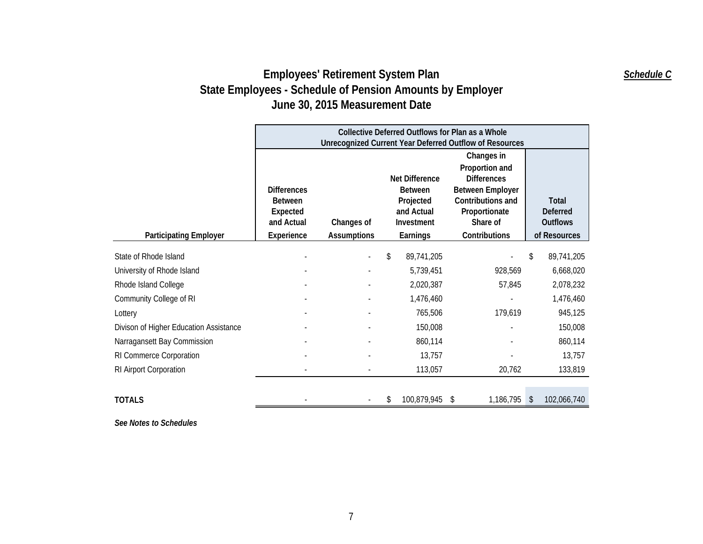|                                        |                                                                              | Collective Deferred Outflows for Plan as a Whole<br>Unrecognized Current Year Deferred Outflow of Resources |                                                                                              |                                                                                                                                                  |                                                             |  |  |  |  |
|----------------------------------------|------------------------------------------------------------------------------|-------------------------------------------------------------------------------------------------------------|----------------------------------------------------------------------------------------------|--------------------------------------------------------------------------------------------------------------------------------------------------|-------------------------------------------------------------|--|--|--|--|
| <b>Participating Employer</b>          | <b>Differences</b><br><b>Between</b><br>Expected<br>and Actual<br>Experience | Changes of<br><b>Assumptions</b>                                                                            | <b>Net Difference</b><br><b>Between</b><br>Projected<br>and Actual<br>Investment<br>Earnings | Changes in<br>Proportion and<br><b>Differences</b><br><b>Between Employer</b><br>Contributions and<br>Proportionate<br>Share of<br>Contributions | Total<br><b>Deferred</b><br><b>Outflows</b><br>of Resources |  |  |  |  |
| State of Rhode Island                  |                                                                              |                                                                                                             | 89,741,205<br>\$                                                                             |                                                                                                                                                  | 89,741,205<br>\$                                            |  |  |  |  |
| University of Rhode Island             |                                                                              |                                                                                                             | 5,739,451                                                                                    | 928,569                                                                                                                                          | 6,668,020                                                   |  |  |  |  |
| Rhode Island College                   |                                                                              |                                                                                                             | 2,020,387                                                                                    | 57,845                                                                                                                                           | 2,078,232                                                   |  |  |  |  |
| Community College of RI                |                                                                              |                                                                                                             | 1,476,460                                                                                    |                                                                                                                                                  | 1,476,460                                                   |  |  |  |  |
| Lottery                                |                                                                              |                                                                                                             | 765,506                                                                                      | 179,619                                                                                                                                          | 945,125                                                     |  |  |  |  |
| Divison of Higher Education Assistance |                                                                              |                                                                                                             | 150,008                                                                                      |                                                                                                                                                  | 150,008                                                     |  |  |  |  |
| Narragansett Bay Commission            |                                                                              |                                                                                                             | 860,114                                                                                      |                                                                                                                                                  | 860,114                                                     |  |  |  |  |
| RI Commerce Corporation                |                                                                              |                                                                                                             | 13,757                                                                                       |                                                                                                                                                  | 13,757                                                      |  |  |  |  |
| RI Airport Corporation                 |                                                                              |                                                                                                             | 113,057                                                                                      | 20,762                                                                                                                                           | 133,819                                                     |  |  |  |  |
| <b>TOTALS</b>                          |                                                                              |                                                                                                             | 100,879,945<br>\$                                                                            | 1,186,795<br>-S                                                                                                                                  | 102,066,740<br>$\mathbb{S}$                                 |  |  |  |  |

*See Notes to Schedules* 

*Schedule C*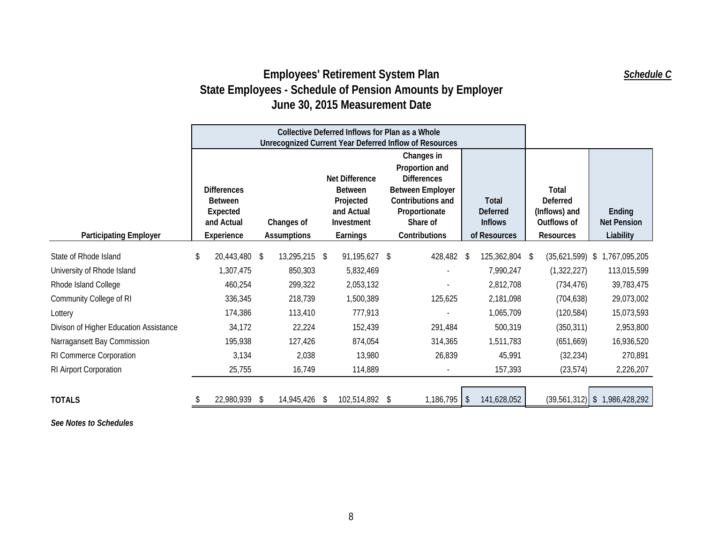|                                        | Collective Deferred Inflows for Plan as a Whole<br><b>Unrecognized Current Year Deferred Inflow of Resources</b> |   |                                                                                       |    |                                                                                                                                                  |  |                                                            |  |                                                                       |     |                                           |                                 |
|----------------------------------------|------------------------------------------------------------------------------------------------------------------|---|---------------------------------------------------------------------------------------|----|--------------------------------------------------------------------------------------------------------------------------------------------------|--|------------------------------------------------------------|--|-----------------------------------------------------------------------|-----|-------------------------------------------|---------------------------------|
| <b>Participating Employer</b>          | <b>Differences</b><br><b>Between</b><br>Expected<br>and Actual<br>Changes of<br>Experience<br><b>Assumptions</b> |   | Net Difference<br><b>Between</b><br>Projected<br>and Actual<br>Investment<br>Earnings |    | Changes in<br>Proportion and<br><b>Differences</b><br><b>Between Employer</b><br>Contributions and<br>Proportionate<br>Share of<br>Contributions |  | Total<br><b>Deferred</b><br><b>Inflows</b><br>of Resources |  | Total<br>Deferred<br>(Inflows) and<br>Outflows of<br><b>Resources</b> |     | Ending<br><b>Net Pension</b><br>Liability |                                 |
| State of Rhode Island                  | \$<br>20,443,480 \$                                                                                              |   | 13,295,215 \$                                                                         |    | 91,195,627 \$                                                                                                                                    |  | 428,482 \$                                                 |  | 125,362,804                                                           | -\$ | $(35,621,599)$ \$                         | 1,767,095,205                   |
| University of Rhode Island             | 1,307,475                                                                                                        |   | 850,303                                                                               |    | 5,832,469                                                                                                                                        |  |                                                            |  | 7,990,247                                                             |     | (1,322,227)                               | 113,015,599                     |
| Rhode Island College                   | 460,254                                                                                                          |   | 299,322                                                                               |    | 2,053,132                                                                                                                                        |  |                                                            |  | 2,812,708                                                             |     | (734, 476)                                | 39,783,475                      |
| Community College of RI                | 336,345                                                                                                          |   | 218,739                                                                               |    | 1,500,389                                                                                                                                        |  | 125,625                                                    |  | 2,181,098                                                             |     | (704, 638)                                | 29,073,002                      |
| Lottery                                | 174,386                                                                                                          |   | 113,410                                                                               |    | 777,913                                                                                                                                          |  |                                                            |  | 1,065,709                                                             |     | (120, 584)                                | 15,073,593                      |
| Divison of Higher Education Assistance | 34,172                                                                                                           |   | 22,224                                                                                |    | 152,439                                                                                                                                          |  | 291,484                                                    |  | 500,319                                                               |     | (350, 311)                                | 2,953,800                       |
| Narragansett Bay Commission            | 195,938                                                                                                          |   | 127,426                                                                               |    | 874,054                                                                                                                                          |  | 314,365                                                    |  | 1,511,783                                                             |     | (651, 669)                                | 16,936,520                      |
| RI Commerce Corporation                | 3,134                                                                                                            |   | 2,038                                                                                 |    | 13,980                                                                                                                                           |  | 26,839                                                     |  | 45,991                                                                |     | (32, 234)                                 | 270,891                         |
| RI Airport Corporation                 | 25,755                                                                                                           |   | 16,749                                                                                |    | 114,889                                                                                                                                          |  |                                                            |  | 157,393                                                               |     | (23, 574)                                 | 2,226,207                       |
| <b>TOTALS</b>                          | 22,980,939                                                                                                       | S | 14,945,426                                                                            | -S | 102,514,892 \$                                                                                                                                   |  | $1,186,795$ \$                                             |  | 141,628,052                                                           |     |                                           | $(39,561,312)$ \$ 1,986,428,292 |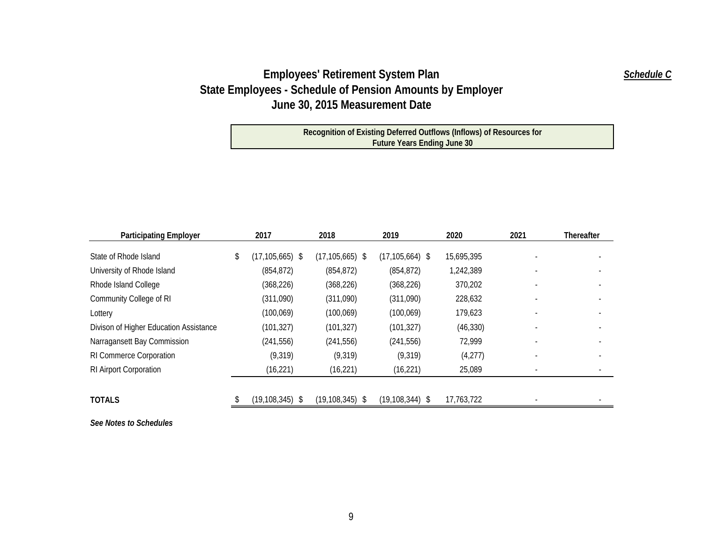**Recognition of Existing Deferred Outflows (Inflows) of Resources for Future Years Ending June 30**

| <b>Participating Employer</b>          | 2017                | 2018                | 2019                | 2020       | 2021 | <b>Thereafter</b> |
|----------------------------------------|---------------------|---------------------|---------------------|------------|------|-------------------|
| State of Rhode Island                  | $(17, 105, 665)$ \$ | $(17, 105, 665)$ \$ | $(17, 105, 664)$ \$ | 15,695,395 |      |                   |
| University of Rhode Island             | (854, 872)          | (854, 872)          | (854, 872)          | 1,242,389  |      |                   |
| Rhode Island College                   | (368, 226)          | (368, 226)          | (368, 226)          | 370,202    |      |                   |
| Community College of RI                | (311,090)           | (311,090)           | (311,090)           | 228,632    |      |                   |
| Lottery                                | (100, 069)          | (100, 069)          | (100, 069)          | 179,623    |      |                   |
| Divison of Higher Education Assistance | (101, 327)          | (101, 327)          | (101, 327)          | (46, 330)  |      |                   |
| Narragansett Bay Commission            | (241, 556)          | (241, 556)          | (241, 556)          | 72,999     |      |                   |
| RI Commerce Corporation                | (9,319)             | (9,319)             | (9,319)             | (4,277)    |      |                   |
| RI Airport Corporation                 | (16, 221)           | (16, 221)           | (16, 221)           | 25,089     |      |                   |
| <b>TOTALS</b>                          |                     |                     |                     | 17,763,722 |      |                   |
|                                        | $(19, 108, 345)$ \$ | $(19, 108, 345)$ \$ | $(19, 108, 344)$ \$ |            |      |                   |

*See Notes to Schedules* 

*Schedule C*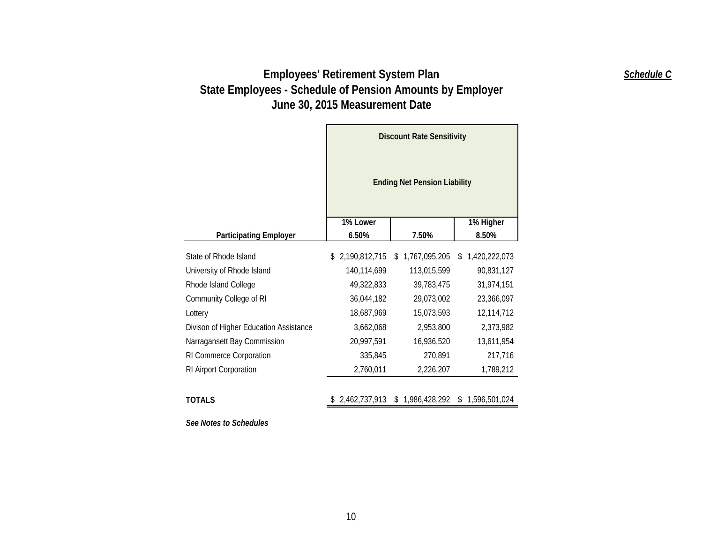|                                        | <b>Discount Rate Sensitivity</b><br><b>Ending Net Pension Liability</b> |                     |                     |  |  |  |  |
|----------------------------------------|-------------------------------------------------------------------------|---------------------|---------------------|--|--|--|--|
|                                        | 1% Lower                                                                |                     | 1% Higher           |  |  |  |  |
| <b>Participating Employer</b>          | 6.50%                                                                   | 7.50%               | 8.50%               |  |  |  |  |
| State of Rhode Island                  | 2,190,812,715<br>\$                                                     | 1,767,095,205<br>S  | 1,420,222,073<br>\$ |  |  |  |  |
| University of Rhode Island             | 140,114,699                                                             | 113,015,599         | 90,831,127          |  |  |  |  |
| Rhode Island College                   | 49,322,833                                                              | 39,783,475          | 31,974,151          |  |  |  |  |
| Community College of RI                | 36,044,182                                                              | 29,073,002          | 23,366,097          |  |  |  |  |
| Lottery                                | 18,687,969                                                              | 15,073,593          | 12,114,712          |  |  |  |  |
| Divison of Higher Education Assistance | 3,662,068                                                               | 2,953,800           | 2,373,982           |  |  |  |  |
| Narragansett Bay Commission            | 20,997,591                                                              | 16,936,520          | 13,611,954          |  |  |  |  |
| RI Commerce Corporation                | 335,845                                                                 | 270,891             | 217,716             |  |  |  |  |
| RI Airport Corporation                 | 2,760,011                                                               | 2,226,207           | 1,789,212           |  |  |  |  |
| <b>TOTALS</b>                          | 2,462,737,913                                                           | 1,986,428,292<br>\$ | \$1,596,501,024     |  |  |  |  |

*See Notes to Schedules* 

*Schedule C*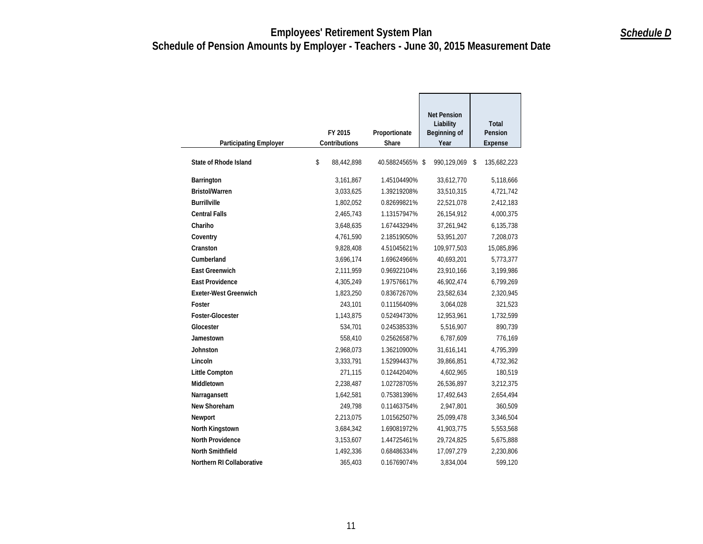| <b>Participating Employer</b> | FY 2015<br>Contributions | Proportionate<br>Share | <b>Net Pension</b><br>Liability<br>Beginning of<br>Year | <b>Total</b><br>Pension<br>Expense |
|-------------------------------|--------------------------|------------------------|---------------------------------------------------------|------------------------------------|
| <b>State of Rhode Island</b>  | \$<br>88,442,898         | 40.58824565% \$        | 990,129,069                                             | \$<br>135,682,223                  |
| Barrington                    | 3,161,867                | 1.45104490%            | 33,612,770                                              | 5,118,666                          |
| <b>Bristol/Warren</b>         | 3,033,625                | 1.39219208%            | 33,510,315                                              | 4,721,742                          |
| <b>Burrillville</b>           | 1,802,052                | 0.82699821%            | 22,521,078                                              | 2,412,183                          |
| <b>Central Falls</b>          | 2,465,743                | 1.13157947%            | 26,154,912                                              | 4,000,375                          |
| Chariho                       | 3,648,635                | 1.67443294%            | 37,261,942                                              | 6,135,738                          |
| Coventry                      | 4,761,590                | 2.18519050%            | 53,951,207                                              | 7,208,073                          |
| Cranston                      | 9,828,408                | 4.51045621%            | 109,977,503                                             | 15,085,896                         |
| Cumberland                    | 3,696,174                | 1.69624966%            | 40,693,201                                              | 5,773,377                          |
| <b>East Greenwich</b>         | 2,111,959                | 0.96922104%            | 23,910,166                                              | 3,199,986                          |
| <b>East Providence</b>        | 4,305,249                | 1.97576617%            | 46,902,474                                              | 6,799,269                          |
| <b>Exeter-West Greenwich</b>  | 1,823,250                | 0.83672670%            | 23,582,634                                              | 2,320,945                          |
| Foster                        | 243,101                  | 0.11156409%            | 3,064,028                                               | 321,523                            |
| Foster-Glocester              | 1,143,875                | 0.52494730%            | 12,953,961                                              | 1,732,599                          |
| Glocester                     | 534,701                  | 0.24538533%            | 5,516,907                                               | 890,739                            |
| Jamestown                     | 558,410                  | 0.25626587%            | 6,787,609                                               | 776,169                            |
| Johnston                      | 2,968,073                | 1.36210900%            | 31,616,141                                              | 4,795,399                          |
| Lincoln                       | 3,333,791                | 1.52994437%            | 39,866,851                                              | 4,732,362                          |
| <b>Little Compton</b>         | 271,115                  | 0.12442040%            | 4,602,965                                               | 180,519                            |
| Middletown                    | 2,238,487                | 1.02728705%            | 26,536,897                                              | 3,212,375                          |
| Narragansett                  | 1,642,581                | 0.75381396%            | 17,492,643                                              | 2,654,494                          |
| New Shoreham                  | 249,798                  | 0.11463754%            | 2,947,801                                               | 360,509                            |
| Newport                       | 2,213,075                | 1.01562507%            | 25,099,478                                              | 3,346,504                          |
| North Kingstown               | 3,684,342                | 1.69081972%            | 41,903,775                                              | 5,553,568                          |
| <b>North Providence</b>       | 3,153,607                | 1.44725461%            | 29,724,825                                              | 5,675,888                          |
| <b>North Smithfield</b>       | 1,492,336                | 0.68486334%            | 17,097,279                                              | 2,230,806                          |
| Northern RI Collaborative     | 365,403                  | 0.16769074%            | 3,834,004                                               | 599,120                            |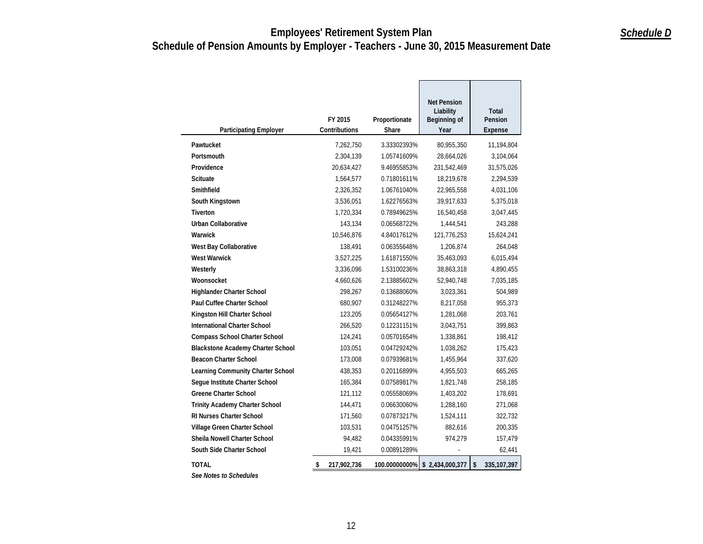| <b>Participating Employer</b>            | FY 2015<br>Contributions | Proportionate<br>Share | <b>Net Pension</b><br>Liability<br>Beginning of<br>Year | Total<br>Pension<br>Expense |
|------------------------------------------|--------------------------|------------------------|---------------------------------------------------------|-----------------------------|
| Pawtucket                                | 7,262,750                | 3.33302393%            | 80,955,350                                              | 11,194,804                  |
| Portsmouth                               | 2,304,139                | 1.05741609%            | 28,664,026                                              | 3,104,064                   |
| Providence                               | 20,634,427               | 9.46955853%            | 231,542,469                                             | 31,575,026                  |
| <b>Scituate</b>                          | 1,564,577                | 0.71801611%            | 18,219,678                                              | 2,294,539                   |
| Smithfield                               | 2,326,352                | 1.06761040%            | 22,965,558                                              | 4,031,106                   |
| South Kingstown                          | 3,536,051                | 1.62276563%            | 39,917,633                                              | 5,375,018                   |
| <b>Tiverton</b>                          | 1,720,334                | 0.78949625%            | 16,540,458                                              | 3,047,445                   |
| Urban Collaborative                      | 143,134                  | 0.06568722%            | 1,444,541                                               | 243,288                     |
| Warwick                                  | 10,546,876               | 4.84017612%            | 121,776,253                                             | 15,624,241                  |
| West Bay Collaborative                   | 138,491                  | 0.06355648%            | 1,206,874                                               | 264,048                     |
| <b>West Warwick</b>                      | 3,527,225                | 1.61871550%            | 35,463,093                                              | 6,015,494                   |
| Westerly                                 | 3,336,096                | 1.53100236%            | 38,863,318                                              | 4,890,455                   |
| Woonsocket                               | 4,660,626                | 2.13885602%            | 52,940,748                                              | 7,035,185                   |
| <b>Highlander Charter School</b>         | 298,267                  | 0.13688060%            | 3,023,361                                               | 504,989                     |
| <b>Paul Cuffee Charter School</b>        | 680,907                  | 0.31248227%            | 8,217,058                                               | 955,373                     |
| Kingston Hill Charter School             | 123,205                  | 0.05654127%            | 1,281,068                                               | 203,761                     |
| <b>International Charter School</b>      | 266,520                  | 0.12231151%            | 3,043,751                                               | 399,863                     |
| <b>Compass School Charter School</b>     | 124,241                  | 0.05701654%            | 1,338,861                                               | 198,412                     |
| <b>Blackstone Academy Charter School</b> | 103,051                  | 0.04729242%            | 1,038,262                                               | 175,423                     |
| <b>Beacon Charter School</b>             | 173,008                  | 0.07939681%            | 1,455,964                                               | 337,620                     |
| Learning Community Charter School        | 438,353                  | 0.20116899%            | 4,955,503                                               | 665,265                     |
| Seque Institute Charter School           | 165,384                  | 0.07589817%            | 1,821,748                                               | 258,185                     |
| <b>Greene Charter School</b>             | 121,112                  | 0.05558069%            | 1,403,202                                               | 178,691                     |
| Trinity Academy Charter School           | 144,471                  | 0.06630060%            | 1,288,160                                               | 271,068                     |
| RI Nurses Charter School                 | 171,560                  | 0.07873217%            | 1,524,111                                               | 322,732                     |
| Village Green Charter School             | 103,531                  | 0.04751257%            | 882,616                                                 | 200,335                     |
| Sheila Nowell Charter School             | 94,482                   | 0.04335991%            | 974.279                                                 | 157,479                     |
| South Side Charter School                | 19,421                   | 0.00891289%            |                                                         | 62,441                      |
| <b>TOTAL</b>                             | 217,902,736<br>\$        | 100.00000000%          | \$2,434,000,377                                         | \$<br>335,107,397           |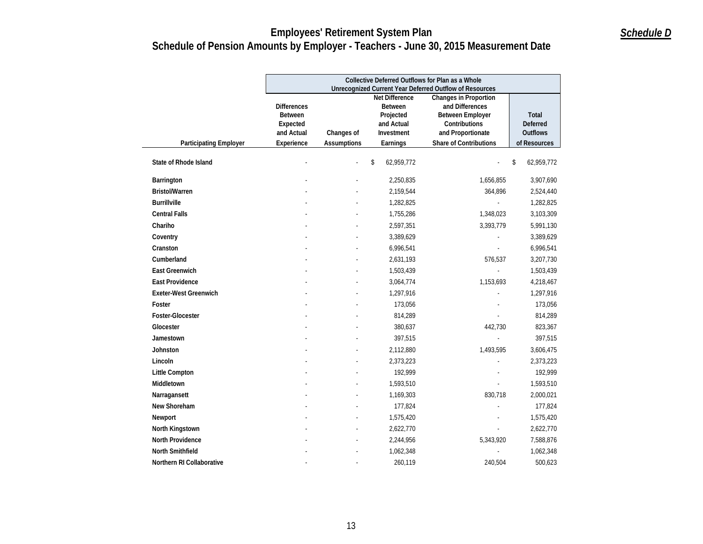|                               | Collective Deferred Outflows for Plan as a Whole<br><b>Unrecognized Current Year Deferred Outflow of Resources</b> |                                                       |                        |                                             |                                 |  |  |  |
|-------------------------------|--------------------------------------------------------------------------------------------------------------------|-------------------------------------------------------|------------------------|---------------------------------------------|---------------------------------|--|--|--|
|                               |                                                                                                                    | <b>Net Difference</b><br><b>Changes in Proportion</b> |                        |                                             |                                 |  |  |  |
|                               | <b>Differences</b>                                                                                                 |                                                       | <b>Between</b>         | and Differences                             |                                 |  |  |  |
|                               | <b>Between</b>                                                                                                     |                                                       | Projected              | <b>Between Employer</b>                     | Total                           |  |  |  |
|                               | Expected                                                                                                           |                                                       | and Actual             | Contributions                               | <b>Deferred</b>                 |  |  |  |
|                               | and Actual<br>Experience                                                                                           | Changes of<br>Assumptions                             | Investment<br>Earnings | and Proportionate<br>Share of Contributions | <b>Outflows</b><br>of Resources |  |  |  |
| <b>Participating Employer</b> |                                                                                                                    |                                                       |                        |                                             |                                 |  |  |  |
| <b>State of Rhode Island</b>  |                                                                                                                    |                                                       | \$<br>62,959,772       |                                             | \$<br>62,959,772                |  |  |  |
| Barrington                    |                                                                                                                    |                                                       | 2,250,835              | 1,656,855                                   | 3,907,690                       |  |  |  |
| <b>Bristol/Warren</b>         |                                                                                                                    |                                                       | 2,159,544              | 364,896                                     | 2,524,440                       |  |  |  |
| <b>Burrillville</b>           |                                                                                                                    |                                                       | 1,282,825              |                                             | 1,282,825                       |  |  |  |
| <b>Central Falls</b>          |                                                                                                                    |                                                       | 1,755,286              | 1,348,023                                   | 3,103,309                       |  |  |  |
| Chariho                       |                                                                                                                    |                                                       | 2,597,351              | 3,393,779                                   | 5,991,130                       |  |  |  |
| Coventry                      |                                                                                                                    |                                                       | 3,389,629              |                                             | 3,389,629                       |  |  |  |
| Cranston                      |                                                                                                                    |                                                       | 6,996,541              |                                             | 6,996,541                       |  |  |  |
| Cumberland                    |                                                                                                                    |                                                       | 2,631,193              | 576,537                                     | 3,207,730                       |  |  |  |
| <b>East Greenwich</b>         |                                                                                                                    |                                                       | 1,503,439              |                                             | 1,503,439                       |  |  |  |
| <b>East Providence</b>        |                                                                                                                    |                                                       | 3,064,774              | 1,153,693                                   | 4,218,467                       |  |  |  |
| <b>Exeter-West Greenwich</b>  |                                                                                                                    |                                                       | 1,297,916              |                                             | 1,297,916                       |  |  |  |
| Foster                        |                                                                                                                    |                                                       | 173,056                |                                             | 173,056                         |  |  |  |
| <b>Foster-Glocester</b>       |                                                                                                                    |                                                       | 814,289                |                                             | 814,289                         |  |  |  |
| Glocester                     |                                                                                                                    |                                                       | 380,637                | 442,730                                     | 823,367                         |  |  |  |
| Jamestown                     |                                                                                                                    |                                                       | 397,515                |                                             | 397,515                         |  |  |  |
| Johnston                      |                                                                                                                    |                                                       | 2,112,880              | 1,493,595                                   | 3,606,475                       |  |  |  |
| Lincoln                       |                                                                                                                    |                                                       | 2,373,223              |                                             | 2,373,223                       |  |  |  |
| <b>Little Compton</b>         |                                                                                                                    |                                                       | 192,999                |                                             | 192,999                         |  |  |  |
| Middletown                    |                                                                                                                    |                                                       | 1,593,510              |                                             | 1,593,510                       |  |  |  |
| Narragansett                  |                                                                                                                    |                                                       | 1,169,303              | 830,718                                     | 2,000,021                       |  |  |  |
| New Shoreham                  |                                                                                                                    |                                                       | 177,824                |                                             | 177,824                         |  |  |  |
| Newport                       |                                                                                                                    |                                                       | 1,575,420              |                                             | 1,575,420                       |  |  |  |
| North Kingstown               |                                                                                                                    |                                                       | 2,622,770              |                                             | 2,622,770                       |  |  |  |
| North Providence              |                                                                                                                    |                                                       | 2,244,956              | 5,343,920                                   | 7,588,876                       |  |  |  |
| <b>North Smithfield</b>       |                                                                                                                    |                                                       | 1,062,348              |                                             | 1,062,348                       |  |  |  |
| Northern RI Collaborative     |                                                                                                                    |                                                       | 260,119                | 240,504                                     | 500,623                         |  |  |  |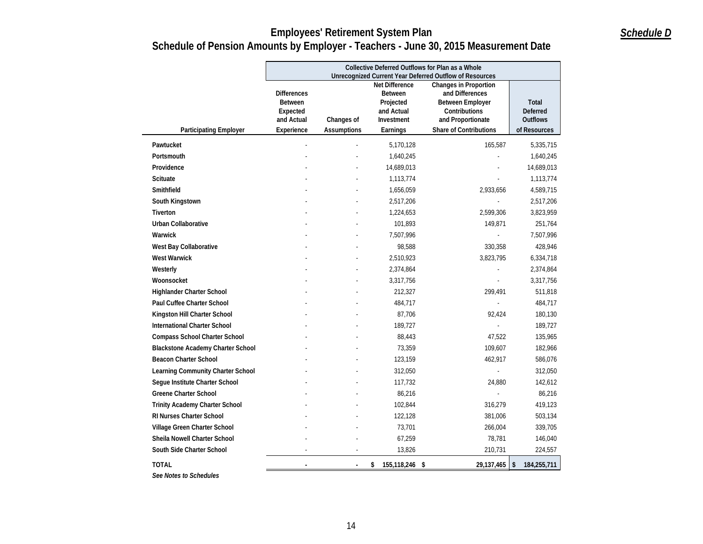|                                          |                                                                | Collective Deferred Outflows for Plan as a Whole |                                                         |                                                                                         |                                             |  |  |  |
|------------------------------------------|----------------------------------------------------------------|--------------------------------------------------|---------------------------------------------------------|-----------------------------------------------------------------------------------------|---------------------------------------------|--|--|--|
|                                          |                                                                |                                                  | Net Difference                                          | Unrecognized Current Year Deferred Outflow of Resources<br><b>Changes in Proportion</b> |                                             |  |  |  |
|                                          | <b>Differences</b><br><b>Between</b><br>Expected<br>and Actual | Changes of                                       | <b>Between</b><br>Projected<br>and Actual<br>Investment | and Differences<br><b>Between Employer</b><br>Contributions<br>and Proportionate        | Total<br><b>Deferred</b><br><b>Outflows</b> |  |  |  |
| <b>Participating Employer</b>            | Experience                                                     | <b>Assumptions</b>                               | Earnings                                                | Share of Contributions                                                                  | of Resources                                |  |  |  |
| Pawtucket                                |                                                                |                                                  | 5,170,128                                               | 165,587                                                                                 | 5,335,715                                   |  |  |  |
| Portsmouth                               |                                                                |                                                  | 1,640,245                                               |                                                                                         | 1,640,245                                   |  |  |  |
| Providence                               |                                                                |                                                  | 14,689,013                                              |                                                                                         | 14,689,013                                  |  |  |  |
| Scituate                                 |                                                                |                                                  | 1,113,774                                               |                                                                                         | 1,113,774                                   |  |  |  |
| Smithfield                               |                                                                |                                                  | 1,656,059                                               | 2,933,656                                                                               | 4,589,715                                   |  |  |  |
| South Kingstown                          |                                                                |                                                  | 2,517,206                                               |                                                                                         | 2,517,206                                   |  |  |  |
| <b>Tiverton</b>                          |                                                                |                                                  | 1,224,653                                               | 2,599,306                                                                               | 3,823,959                                   |  |  |  |
| <b>Urban Collaborative</b>               |                                                                |                                                  | 101,893                                                 | 149,871                                                                                 | 251,764                                     |  |  |  |
| Warwick                                  |                                                                |                                                  | 7,507,996                                               |                                                                                         | 7,507,996                                   |  |  |  |
| West Bay Collaborative                   |                                                                |                                                  | 98,588                                                  | 330,358                                                                                 | 428,946                                     |  |  |  |
| <b>West Warwick</b>                      |                                                                |                                                  | 2,510,923                                               | 3,823,795                                                                               | 6,334,718                                   |  |  |  |
| Westerly                                 |                                                                |                                                  | 2,374,864                                               |                                                                                         | 2,374,864                                   |  |  |  |
| Woonsocket                               |                                                                |                                                  | 3,317,756                                               |                                                                                         | 3,317,756                                   |  |  |  |
| <b>Highlander Charter School</b>         |                                                                |                                                  | 212,327                                                 | 299,491                                                                                 | 511,818                                     |  |  |  |
| <b>Paul Cuffee Charter School</b>        |                                                                |                                                  | 484,717                                                 |                                                                                         | 484,717                                     |  |  |  |
| Kingston Hill Charter School             |                                                                |                                                  | 87,706                                                  | 92,424                                                                                  | 180,130                                     |  |  |  |
| <b>International Charter School</b>      |                                                                |                                                  | 189,727                                                 |                                                                                         | 189,727                                     |  |  |  |
| Compass School Charter School            |                                                                |                                                  | 88,443                                                  | 47,522                                                                                  | 135,965                                     |  |  |  |
| <b>Blackstone Academy Charter School</b> |                                                                |                                                  | 73,359                                                  | 109,607                                                                                 | 182,966                                     |  |  |  |
| <b>Beacon Charter School</b>             |                                                                |                                                  | 123,159                                                 | 462,917                                                                                 | 586,076                                     |  |  |  |
| Learning Community Charter School        |                                                                |                                                  | 312,050                                                 |                                                                                         | 312,050                                     |  |  |  |
| Seque Institute Charter School           |                                                                |                                                  | 117,732                                                 | 24,880                                                                                  | 142,612                                     |  |  |  |
| <b>Greene Charter School</b>             |                                                                |                                                  | 86,216                                                  |                                                                                         | 86,216                                      |  |  |  |
| Trinity Academy Charter School           |                                                                |                                                  | 102,844                                                 | 316,279                                                                                 | 419,123                                     |  |  |  |
| RI Nurses Charter School                 |                                                                |                                                  | 122,128                                                 | 381,006                                                                                 | 503,134                                     |  |  |  |
| Village Green Charter School             |                                                                |                                                  | 73,701                                                  | 266,004                                                                                 | 339,705                                     |  |  |  |
| Sheila Nowell Charter School             |                                                                |                                                  | 67,259                                                  | 78,781                                                                                  | 146,040                                     |  |  |  |
| South Side Charter School                |                                                                |                                                  | 13,826                                                  | 210,731                                                                                 | 224,557                                     |  |  |  |
| <b>TOTAL</b>                             | ÷,                                                             | $\blacksquare$                                   | 155,118,246 \$<br>\$                                    | 29,137,465                                                                              | \$<br>184,255,711                           |  |  |  |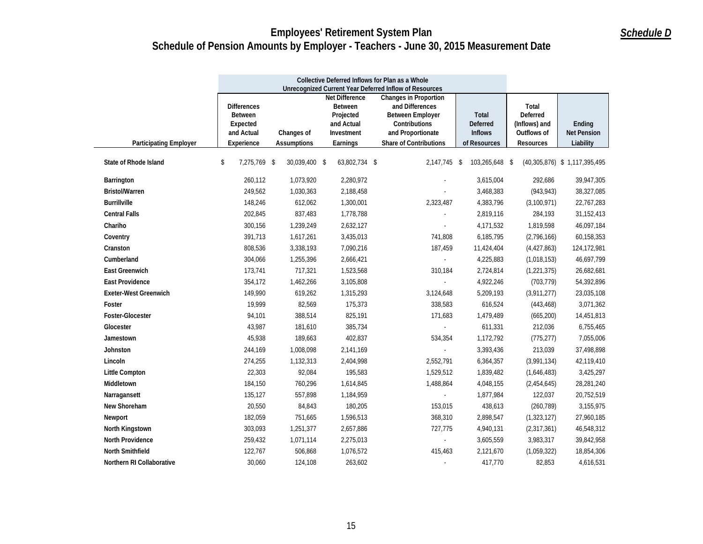|                               | Collective Deferred Inflows for Plan as a Whole<br>Unrecognized Current Year Deferred Inflow of Resources |                                                                                                                                                                                                                                                                                                                                                     |               |                     |                |                                                                |                                           |
|-------------------------------|-----------------------------------------------------------------------------------------------------------|-----------------------------------------------------------------------------------------------------------------------------------------------------------------------------------------------------------------------------------------------------------------------------------------------------------------------------------------------------|---------------|---------------------|----------------|----------------------------------------------------------------|-------------------------------------------|
| <b>Participating Employer</b> | <b>Differences</b><br><b>Between</b><br>Expected<br>and Actual<br>Experience                              | <b>Net Difference</b><br><b>Changes in Proportion</b><br><b>Between</b><br>and Differences<br>Projected<br><b>Between Employer</b><br>Total<br>and Actual<br>Contributions<br><b>Deferred</b><br><b>Inflows</b><br>Investment<br>and Proportionate<br>Changes of<br><b>Share of Contributions</b><br><b>Assumptions</b><br>Earnings<br>of Resources |               |                     |                | Total<br>Deferred<br>(Inflows) and<br>Outflows of<br>Resources | Ending<br><b>Net Pension</b><br>Liability |
| State of Rhode Island         | 7,275,769 \$<br>\$                                                                                        | 30,039,400 \$                                                                                                                                                                                                                                                                                                                                       | 63,802,734 \$ | 2,147,745 \$        | 103,265,648 \$ |                                                                | (40,305,876) \$ 1,117,395,495             |
|                               |                                                                                                           |                                                                                                                                                                                                                                                                                                                                                     |               |                     |                |                                                                |                                           |
| Barrington                    | 260,112                                                                                                   | 1,073,920                                                                                                                                                                                                                                                                                                                                           | 2,280,972     |                     | 3,615,004      | 292,686                                                        | 39,947,305                                |
| <b>Bristol/Warren</b>         | 249,562                                                                                                   | 1,030,363                                                                                                                                                                                                                                                                                                                                           | 2,188,458     | $\sim$              | 3,468,383      | (943, 943)                                                     | 38,327,085                                |
| <b>Burrillville</b>           | 148,246                                                                                                   | 612,062                                                                                                                                                                                                                                                                                                                                             | 1,300,001     | 2,323,487           | 4,383,796      | (3, 100, 971)                                                  | 22,767,283                                |
| <b>Central Falls</b>          | 202,845                                                                                                   | 837,483                                                                                                                                                                                                                                                                                                                                             | 1,778,788     |                     | 2,819,116      | 284,193                                                        | 31,152,413                                |
| Chariho                       | 300,156                                                                                                   | 1,239,249                                                                                                                                                                                                                                                                                                                                           | 2,632,127     | $\equiv$            | 4,171,532      | 1,819,598                                                      | 46,097,184                                |
| Coventry                      | 391,713                                                                                                   | 1,617,261                                                                                                                                                                                                                                                                                                                                           | 3,435,013     | 741,808             | 6,185,795      | (2,796,166)                                                    | 60,158,353                                |
| Cranston                      | 808,536                                                                                                   | 3,338,193                                                                                                                                                                                                                                                                                                                                           | 7,090,216     | 187,459             | 11,424,404     | (4, 427, 863)                                                  | 124,172,981                               |
| Cumberland                    | 304,066                                                                                                   | 1,255,396                                                                                                                                                                                                                                                                                                                                           | 2,666,421     | $\omega$            | 4,225,883      | (1,018,153)                                                    | 46,697,799                                |
| <b>East Greenwich</b>         | 173,741                                                                                                   | 717,321                                                                                                                                                                                                                                                                                                                                             | 1,523,568     | 310,184             | 2,724,814      | (1, 221, 375)                                                  | 26,682,681                                |
| <b>East Providence</b>        | 354,172                                                                                                   | 1,462,266                                                                                                                                                                                                                                                                                                                                           | 3,105,808     | $\omega$            | 4,922,246      | (703, 779)                                                     | 54,392,896                                |
| <b>Exeter-West Greenwich</b>  | 149.990                                                                                                   | 619,262                                                                                                                                                                                                                                                                                                                                             | 1,315,293     | 3,124,648           | 5,209,193      | (3,911,277)                                                    | 23,035,108                                |
| Foster                        | 19,999                                                                                                    | 82,569                                                                                                                                                                                                                                                                                                                                              | 175,373       | 338,583             | 616,524        | (443, 468)                                                     | 3,071,362                                 |
| Foster-Glocester              | 94,101                                                                                                    | 388,514                                                                                                                                                                                                                                                                                                                                             | 825,191       | 171,683             | 1,479,489      | (665, 200)                                                     | 14,451,813                                |
| Glocester                     | 43,987                                                                                                    | 181,610                                                                                                                                                                                                                                                                                                                                             | 385,734       | $\omega$            | 611,331        | 212,036                                                        | 6,755,465                                 |
| Jamestown                     | 45,938                                                                                                    | 189,663                                                                                                                                                                                                                                                                                                                                             | 402,837       | 534,354             | 1,172,792      | (775, 277)                                                     | 7,055,006                                 |
| Johnston                      | 244,169                                                                                                   | 1,008,098                                                                                                                                                                                                                                                                                                                                           | 2,141,169     | $\equiv$            | 3,393,436      | 213,039                                                        | 37,498,898                                |
| Lincoln                       | 274,255                                                                                                   | 1,132,313                                                                                                                                                                                                                                                                                                                                           | 2,404,998     | 2,552,791           | 6,364,357      | (3,991,134)                                                    | 42,119,410                                |
| <b>Little Compton</b>         | 22,303                                                                                                    | 92,084                                                                                                                                                                                                                                                                                                                                              | 195,583       | 1,529,512           | 1,839,482      | (1,646,483)                                                    | 3,425,297                                 |
| Middletown                    | 184,150                                                                                                   | 760,296                                                                                                                                                                                                                                                                                                                                             | 1,614,845     | 1,488,864           | 4,048,155      | (2,454,645)                                                    | 28,281,240                                |
| Narragansett                  | 135,127                                                                                                   | 557,898                                                                                                                                                                                                                                                                                                                                             | 1,184,959     | $\omega_{\rm{eff}}$ | 1,877,984      | 122,037                                                        | 20,752,519                                |
| New Shoreham                  | 20,550                                                                                                    | 84,843                                                                                                                                                                                                                                                                                                                                              | 180,205       | 153,015             | 438,613        | (260, 789)                                                     | 3,155,975                                 |
| Newport                       | 182,059                                                                                                   | 751,665                                                                                                                                                                                                                                                                                                                                             | 1,596,513     | 368,310             | 2,898,547      | (1, 323, 127)                                                  | 27,960,185                                |
| North Kingstown               | 303,093                                                                                                   | 1,251,377                                                                                                                                                                                                                                                                                                                                           | 2,657,886     | 727,775             | 4,940,131      | (2,317,361)                                                    | 46,548,312                                |
| <b>North Providence</b>       | 259,432                                                                                                   | 1,071,114                                                                                                                                                                                                                                                                                                                                           | 2,275,013     | $\omega$            | 3,605,559      | 3,983,317                                                      | 39,842,958                                |
| North Smithfield              | 122,767                                                                                                   | 506,868                                                                                                                                                                                                                                                                                                                                             | 1,076,572     | 415,463             | 2,121,670      | (1,059,322)                                                    | 18,854,306                                |
| Northern RI Collaborative     | 30,060                                                                                                    | 124,108                                                                                                                                                                                                                                                                                                                                             | 263,602       | $\sim$              | 417,770        | 82,853                                                         | 4,616,531                                 |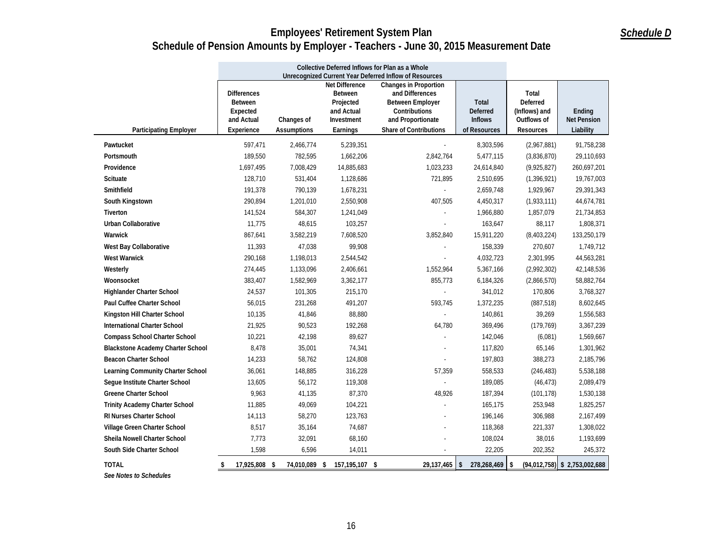|                                          | Collective Deferred Inflows for Plan as a Whole                                                                                                                                                                                                                                                                                                                                |               |                |                                                        |                                |                  |                                           |
|------------------------------------------|--------------------------------------------------------------------------------------------------------------------------------------------------------------------------------------------------------------------------------------------------------------------------------------------------------------------------------------------------------------------------------|---------------|----------------|--------------------------------------------------------|--------------------------------|------------------|-------------------------------------------|
|                                          |                                                                                                                                                                                                                                                                                                                                                                                |               |                | Unrecognized Current Year Deferred Inflow of Resources |                                |                  |                                           |
| <b>Participating Employer</b>            | <b>Net Difference</b><br><b>Changes in Proportion</b><br><b>Differences</b><br><b>Between</b><br>and Differences<br><b>Between Employer</b><br>Total<br><b>Between</b><br>Projected<br>Deferred<br>and Actual<br>Contributions<br><b>Deferred</b><br>(Inflows) and<br>Expected<br>and Actual<br>Investment<br>and Proportionate<br><b>Inflows</b><br>Outflows of<br>Changes of |               |                |                                                        |                                |                  | Ending<br><b>Net Pension</b><br>Liability |
|                                          | Experience                                                                                                                                                                                                                                                                                                                                                                     | Assumptions   | Earnings       | Share of Contributions                                 | of Resources                   | <b>Resources</b> |                                           |
| Pawtucket                                | 597,471                                                                                                                                                                                                                                                                                                                                                                        | 2,466,774     | 5,239,351      |                                                        | 8,303,596                      | (2,967,881)      | 91,758,238                                |
| Portsmouth                               | 189,550                                                                                                                                                                                                                                                                                                                                                                        | 782,595       | 1,662,206      | 2,842,764                                              | 5,477,115                      | (3,836,870)      | 29,110,693                                |
| Providence                               | 1,697,495                                                                                                                                                                                                                                                                                                                                                                      | 7,008,429     | 14,885,683     | 1,023,233                                              | 24,614,840                     | (9,925,827)      | 260,697,201                               |
| <b>Scituate</b>                          | 128,710                                                                                                                                                                                                                                                                                                                                                                        | 531,404       | 1,128,686      | 721,895                                                | 2,510,695                      | (1,396,921)      | 19,767,003                                |
| Smithfield                               | 191,378                                                                                                                                                                                                                                                                                                                                                                        | 790,139       | 1,678,231      |                                                        | 2,659,748                      | 1,929,967        | 29,391,343                                |
| South Kingstown                          | 290,894                                                                                                                                                                                                                                                                                                                                                                        | 1,201,010     | 2,550,908      | 407,505                                                | 4,450,317                      | (1,933,111)      | 44,674,781                                |
| Tiverton                                 | 141,524                                                                                                                                                                                                                                                                                                                                                                        | 584,307       | 1,241,049      |                                                        | 1,966,880                      | 1,857,079        | 21,734,853                                |
| Urban Collaborative                      | 11,775                                                                                                                                                                                                                                                                                                                                                                         | 48,615        | 103,257        |                                                        | 163,647                        | 88,117           | 1,808,371                                 |
| Warwick                                  | 867,641                                                                                                                                                                                                                                                                                                                                                                        | 3,582,219     | 7,608,520      | 3,852,840                                              | 15,911,220                     | (8,403,224)      | 133,250,179                               |
| West Bay Collaborative                   | 11,393                                                                                                                                                                                                                                                                                                                                                                         | 47,038        | 99,908         |                                                        | 158,339                        | 270,607          | 1,749,712                                 |
| <b>West Warwick</b>                      | 290,168                                                                                                                                                                                                                                                                                                                                                                        | 1,198,013     | 2,544,542      |                                                        | 4,032,723                      | 2,301,995        | 44,563,281                                |
| Westerly                                 | 274,445                                                                                                                                                                                                                                                                                                                                                                        | 1,133,096     | 2,406,661      | 1,552,964                                              | 5,367,166                      | (2,992,302)      | 42,148,536                                |
| Woonsocket                               | 383,407                                                                                                                                                                                                                                                                                                                                                                        | 1,582,969     | 3,362,177      | 855,773                                                | 6,184,326                      | (2,866,570)      | 58,882,764                                |
| Highlander Charter School                | 24,537                                                                                                                                                                                                                                                                                                                                                                         | 101,305       | 215,170        | $\sim$                                                 | 341,012                        | 170,806          | 3,768,327                                 |
| Paul Cuffee Charter School               | 56,015                                                                                                                                                                                                                                                                                                                                                                         | 231,268       | 491,207        | 593,745                                                | 1,372,235                      | (887, 518)       | 8,602,645                                 |
| Kingston Hill Charter School             | 10,135                                                                                                                                                                                                                                                                                                                                                                         | 41,846        | 88,880         | $\sim$                                                 | 140,861                        | 39,269           | 1,556,583                                 |
| <b>International Charter School</b>      | 21,925                                                                                                                                                                                                                                                                                                                                                                         | 90,523        | 192,268        | 64,780                                                 | 369,496                        | (179, 769)       | 3,367,239                                 |
| <b>Compass School Charter School</b>     | 10,221                                                                                                                                                                                                                                                                                                                                                                         | 42,198        | 89,627         |                                                        | 142,046                        | (6,081)          | 1,569,667                                 |
| <b>Blackstone Academy Charter School</b> | 8,478                                                                                                                                                                                                                                                                                                                                                                          | 35,001        | 74,341         |                                                        | 117,820                        | 65,146           | 1,301,962                                 |
| <b>Beacon Charter School</b>             | 14,233                                                                                                                                                                                                                                                                                                                                                                         | 58,762        | 124,808        | $\sim$                                                 | 197,803                        | 388,273          | 2,185,796                                 |
| Learning Community Charter School        | 36,061                                                                                                                                                                                                                                                                                                                                                                         | 148,885       | 316,228        | 57,359                                                 | 558,533                        | (246, 483)       | 5,538,188                                 |
| Seque Institute Charter School           | 13,605                                                                                                                                                                                                                                                                                                                                                                         | 56,172        | 119,308        | $\omega$                                               | 189,085                        | (46, 473)        | 2,089,479                                 |
| <b>Greene Charter School</b>             | 9,963                                                                                                                                                                                                                                                                                                                                                                          | 41,135        | 87,370         | 48,926                                                 | 187,394                        | (101, 178)       | 1,530,138                                 |
| <b>Trinity Academy Charter School</b>    | 11,885                                                                                                                                                                                                                                                                                                                                                                         | 49,069        | 104,221        | $\omega$                                               | 165,175                        | 253,948          | 1,825,257                                 |
| RI Nurses Charter School                 | 14,113                                                                                                                                                                                                                                                                                                                                                                         | 58,270        | 123,763        |                                                        | 196,146                        | 306,988          | 2,167,499                                 |
| Village Green Charter School             | 8,517                                                                                                                                                                                                                                                                                                                                                                          | 35,164        | 74,687         |                                                        | 118,368                        | 221,337          | 1,308,022                                 |
| Sheila Nowell Charter School             | 7,773                                                                                                                                                                                                                                                                                                                                                                          | 32,091        | 68,160         |                                                        | 108,024                        | 38,016           | 1,193,699                                 |
| South Side Charter School                | 1.598                                                                                                                                                                                                                                                                                                                                                                          | 6,596         | 14,011         |                                                        | 22,205                         | 202,352          | 245,372                                   |
| <b>TOTAL</b>                             | 17,925,808 \$                                                                                                                                                                                                                                                                                                                                                                  | 74,010,089 \$ | 157,195,107 \$ |                                                        | $29,137,465$ \$ 278,268,469 \$ |                  | $(94, 012, 758)$ \$ 2,753,002,688         |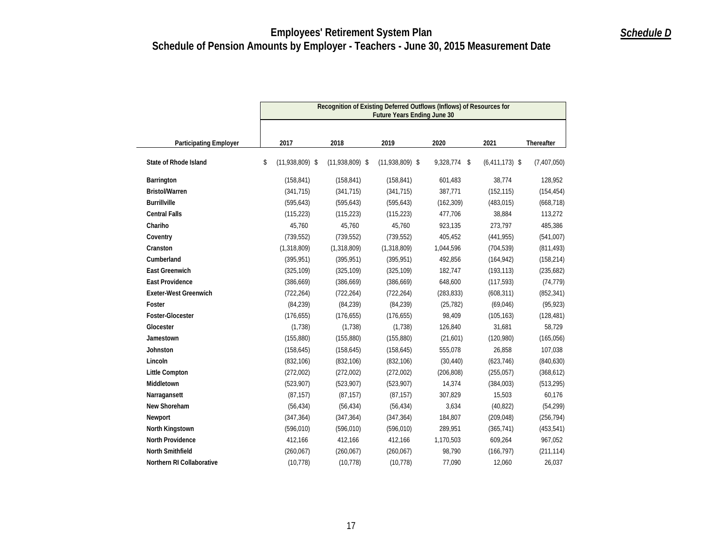|                               | Recognition of Existing Deferred Outflows (Inflows) of Resources for<br><b>Future Years Ending June 30</b> |                   |                   |                 |                  |             |  |  |  |
|-------------------------------|------------------------------------------------------------------------------------------------------------|-------------------|-------------------|-----------------|------------------|-------------|--|--|--|
| <b>Participating Employer</b> | 2017                                                                                                       | 2018              | 2019              | 2020            | 2021             | Thereafter  |  |  |  |
| <b>State of Rhode Island</b>  | \$<br>$(11,938,809)$ \$                                                                                    | $(11,938,809)$ \$ | $(11,938,809)$ \$ | 9,328,774<br>\$ | $(6,411,173)$ \$ | (7,407,050) |  |  |  |
| Barrington                    | (158, 841)                                                                                                 | (158, 841)        | (158, 841)        | 601,483         | 38,774           | 128,952     |  |  |  |
| <b>Bristol/Warren</b>         | (341, 715)                                                                                                 | (341, 715)        | (341, 715)        | 387,771         | (152, 115)       | (154, 454)  |  |  |  |
| <b>Burrillville</b>           | (595, 643)                                                                                                 | (595, 643)        | (595, 643)        | (162, 309)      | (483, 015)       | (668, 718)  |  |  |  |
| <b>Central Falls</b>          | (115, 223)                                                                                                 | (115, 223)        | (115, 223)        | 477,706         | 38,884           | 113,272     |  |  |  |
| Chariho                       | 45,760                                                                                                     | 45,760            | 45,760            | 923,135         | 273,797          | 485,386     |  |  |  |
| Coventry                      | (739, 552)                                                                                                 | (739, 552)        | (739, 552)        | 405,452         | (441, 955)       | (541,007)   |  |  |  |
| Cranston                      | (1,318,809)                                                                                                | (1,318,809)       | (1,318,809)       | 1,044,596       | (704, 539)       | (811, 493)  |  |  |  |
| Cumberland                    | (395, 951)                                                                                                 | (395, 951)        | (395, 951)        | 492,856         | (164, 942)       | (158, 214)  |  |  |  |
| <b>East Greenwich</b>         | (325, 109)                                                                                                 | (325, 109)        | (325, 109)        | 182,747         | (193, 113)       | (235,682)   |  |  |  |
| <b>East Providence</b>        | (386, 669)                                                                                                 | (386, 669)        | (386, 669)        | 648,600         | (117, 593)       | (74, 779)   |  |  |  |
| <b>Exeter-West Greenwich</b>  | (722, 264)                                                                                                 | (722, 264)        | (722, 264)        | (283, 833)      | (608, 311)       | (852, 341)  |  |  |  |
| Foster                        | (84, 239)                                                                                                  | (84, 239)         | (84, 239)         | (25, 782)       | (69,046)         | (95, 923)   |  |  |  |
| Foster-Glocester              | (176, 655)                                                                                                 | (176, 655)        | (176, 655)        | 98,409          | (105, 163)       | (128, 481)  |  |  |  |
| Glocester                     | (1,738)                                                                                                    | (1,738)           | (1,738)           | 126,840         | 31,681           | 58,729      |  |  |  |
| Jamestown                     | (155, 880)                                                                                                 | (155, 880)        | (155, 880)        | (21,601)        | (120,980)        | (165, 056)  |  |  |  |
| <b>Johnston</b>               | (158, 645)                                                                                                 | (158, 645)        | (158, 645)        | 555,078         | 26,858           | 107,038     |  |  |  |
| Lincoln                       | (832, 106)                                                                                                 | (832, 106)        | (832, 106)        | (30, 440)       | (623, 746)       | (840, 630)  |  |  |  |
| Little Compton                | (272,002)                                                                                                  | (272,002)         | (272,002)         | (206, 808)      | (255, 057)       | (368, 612)  |  |  |  |
| Middletown                    | (523,907)                                                                                                  | (523,907)         | (523,907)         | 14,374          | (384,003)        | (513, 295)  |  |  |  |
| Narragansett                  | (87, 157)                                                                                                  | (87, 157)         | (87, 157)         | 307,829         | 15,503           | 60,176      |  |  |  |
| New Shoreham                  | (56, 434)                                                                                                  | (56, 434)         | (56, 434)         | 3,634           | (40, 822)        | (54, 299)   |  |  |  |
| Newport                       | (347, 364)                                                                                                 | (347, 364)        | (347, 364)        | 184,807         | (209, 048)       | (256, 794)  |  |  |  |
| North Kingstown               | (596, 010)                                                                                                 | (596, 010)        | (596, 010)        | 289,951         | (365, 741)       | (453, 541)  |  |  |  |
| <b>North Providence</b>       | 412,166                                                                                                    | 412,166           | 412,166           | 1,170,503       | 609,264          | 967,052     |  |  |  |
| North Smithfield              | (260, 067)                                                                                                 | (260, 067)        | (260, 067)        | 98,790          | (166, 797)       | (211, 114)  |  |  |  |
| Northern RI Collaborative     | (10, 778)                                                                                                  | (10, 778)         | (10, 778)         | 77,090          | 12,060           | 26,037      |  |  |  |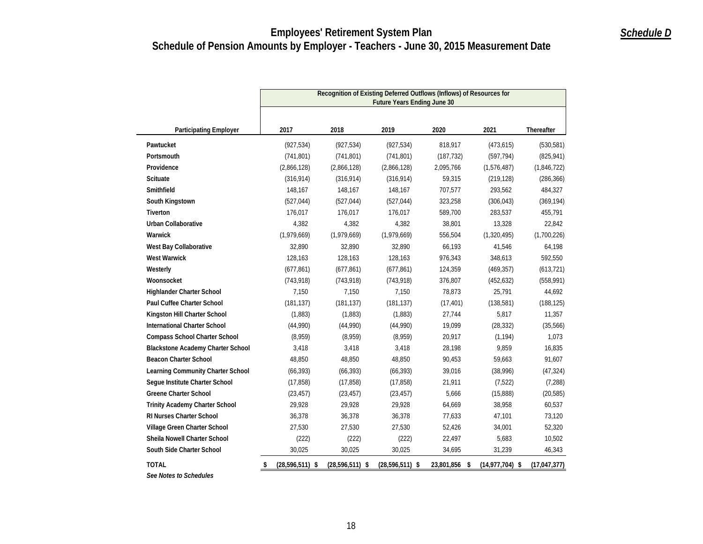|                                          | Recognition of Existing Deferred Outflows (Inflows) of Resources for<br><b>Future Years Ending June 30</b> |                   |                     |               |                   |                |  |  |  |
|------------------------------------------|------------------------------------------------------------------------------------------------------------|-------------------|---------------------|---------------|-------------------|----------------|--|--|--|
| <b>Participating Employer</b>            | 2017                                                                                                       | 2018              | 2019                | 2020          | 2021              | Thereafter     |  |  |  |
| Pawtucket                                | (927, 534)                                                                                                 | (927, 534)        | (927, 534)          | 818,917       | (473, 615)        | (530, 581)     |  |  |  |
| Portsmouth                               | (741, 801)                                                                                                 | (741, 801)        | (741, 801)          | (187, 732)    | (597, 794)        | (825, 941)     |  |  |  |
| Providence                               | (2,866,128)                                                                                                | (2,866,128)       | (2,866,128)         | 2,095,766     | (1,576,487)       | (1,846,722)    |  |  |  |
| Scituate                                 | (316, 914)                                                                                                 | (316, 914)        | (316, 914)          | 59,315        | (219, 128)        | (286, 366)     |  |  |  |
| Smithfield                               | 148,167                                                                                                    | 148,167           | 148,167             | 707,577       | 293,562           | 484,327        |  |  |  |
| South Kingstown                          | (527, 044)                                                                                                 | (527, 044)        | (527, 044)          | 323,258       | (306, 043)        | (369, 194)     |  |  |  |
| Tiverton                                 | 176,017                                                                                                    | 176,017           | 176,017             | 589,700       | 283,537           | 455,791        |  |  |  |
| <b>Urban Collaborative</b>               | 4,382                                                                                                      | 4,382             | 4,382               | 38,801        | 13,328            | 22,842         |  |  |  |
| Warwick                                  | (1,979,669)                                                                                                | (1,979,669)       | (1,979,669)         | 556,504       | (1,320,495)       | (1,700,226)    |  |  |  |
| West Bay Collaborative                   | 32,890                                                                                                     | 32,890            | 32,890              | 66,193        | 41,546            | 64,198         |  |  |  |
| <b>West Warwick</b>                      | 128,163                                                                                                    | 128,163           | 128,163             | 976,343       | 348,613           | 592,550        |  |  |  |
| Westerly                                 | (677, 861)                                                                                                 | (677, 861)        | (677, 861)          | 124,359       | (469, 357)        | (613, 721)     |  |  |  |
| Woonsocket                               | (743, 918)                                                                                                 | (743, 918)        | (743, 918)          | 376,807       | (452, 632)        | (558, 991)     |  |  |  |
| Highlander Charter School                | 7,150                                                                                                      | 7,150             | 7,150               | 78,873        | 25,791            | 44,692         |  |  |  |
| Paul Cuffee Charter School               | (181, 137)                                                                                                 | (181, 137)        | (181, 137)          | (17, 401)     | (138, 581)        | (188, 125)     |  |  |  |
| Kingston Hill Charter School             | (1,883)                                                                                                    | (1,883)           | (1,883)             | 27,744        | 5,817             | 11,357         |  |  |  |
| <b>International Charter School</b>      | (44,990)                                                                                                   | (44,990)          | (44,990)            | 19,099        | (28, 332)         | (35,566)       |  |  |  |
| <b>Compass School Charter School</b>     | (8,959)                                                                                                    | (8,959)           | (8,959)             | 20,917        | (1, 194)          | 1,073          |  |  |  |
| <b>Blackstone Academy Charter School</b> | 3,418                                                                                                      | 3,418             | 3,418               | 28,198        | 9,859             | 16,835         |  |  |  |
| <b>Beacon Charter School</b>             | 48,850                                                                                                     | 48,850            | 48,850              | 90,453        | 59,663            | 91,607         |  |  |  |
| Learning Community Charter School        | (66, 393)                                                                                                  | (66, 393)         | (66, 393)           | 39,016        | (38,996)          | (47, 324)      |  |  |  |
| Segue Institute Charter School           | (17, 858)                                                                                                  | (17, 858)         | (17, 858)           | 21,911        | (7, 522)          | (7, 288)       |  |  |  |
| <b>Greene Charter School</b>             | (23, 457)                                                                                                  | (23, 457)         | (23, 457)           | 5,666         | (15,888)          | (20, 585)      |  |  |  |
| <b>Trinity Academy Charter School</b>    | 29,928                                                                                                     | 29,928            | 29,928              | 64,669        | 38,958            | 60,537         |  |  |  |
| RI Nurses Charter School                 | 36,378                                                                                                     | 36,378            | 36,378              | 77,633        | 47,101            | 73,120         |  |  |  |
| Village Green Charter School             | 27,530                                                                                                     | 27,530            | 27,530              | 52,426        | 34,001            | 52,320         |  |  |  |
| Sheila Nowell Charter School             | (222)                                                                                                      | (222)             | (222)               | 22,497        | 5,683             | 10,502         |  |  |  |
| South Side Charter School                | 30,025                                                                                                     | 30,025            | 30,025              | 34,695        | 31,239            | 46,343         |  |  |  |
| <b>TOTAL</b>                             | $(28,596,511)$ \$<br>\$                                                                                    | $(28,596,511)$ \$ | $(28, 596, 511)$ \$ | 23,801,856 \$ | $(14,977,704)$ \$ | (17, 047, 377) |  |  |  |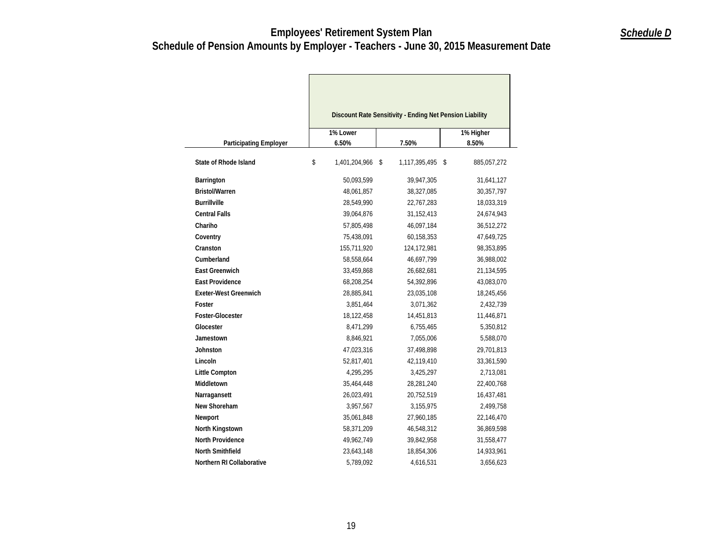|                               | 1% Lower            | Discount Rate Sensitivity - Ending Net Pension Liability | 1% Higher         |
|-------------------------------|---------------------|----------------------------------------------------------|-------------------|
| <b>Participating Employer</b> | 6.50%               | 7.50%                                                    | 8.50%             |
| State of Rhode Island         | \$<br>1,401,204,966 | 1,117,395,495<br>\$                                      | 885,057,272<br>\$ |
| Barrington                    | 50,093,599          | 39,947,305                                               | 31,641,127        |
| <b>Bristol/Warren</b>         | 48,061,857          | 38,327,085                                               | 30,357,797        |
| <b>Burrillville</b>           | 28,549,990          | 22,767,283                                               | 18,033,319        |
| <b>Central Falls</b>          | 39,064,876          | 31,152,413                                               | 24,674,943        |
| Chariho                       | 57,805,498          | 46,097,184                                               | 36,512,272        |
| Coventry                      | 75,438,091          | 60,158,353                                               | 47,649,725        |
| Cranston                      | 155,711,920         | 124,172,981                                              | 98,353,895        |
| Cumberland                    | 58,558,664          | 46,697,799                                               | 36,988,002        |
| <b>East Greenwich</b>         | 33,459,868          | 26,682,681                                               | 21,134,595        |
| <b>East Providence</b>        | 68,208,254          | 54,392,896                                               | 43,083,070        |
| <b>Exeter-West Greenwich</b>  | 28,885,841          | 23,035,108                                               | 18,245,456        |
| Foster                        | 3,851,464           | 3,071,362                                                | 2,432,739         |
| Foster-Glocester              | 18,122,458          | 14,451,813                                               | 11,446,871        |
| Glocester                     | 8,471,299           | 6,755,465                                                | 5,350,812         |
| Jamestown                     | 8,846,921           | 7,055,006                                                | 5,588,070         |
| <b>Johnston</b>               | 47,023,316          | 37,498,898                                               | 29,701,813        |
| Lincoln                       | 52,817,401          | 42,119,410                                               | 33,361,590        |
| <b>Little Compton</b>         | 4,295,295           | 3,425,297                                                | 2,713,081         |
| Middletown                    | 35,464,448          | 28,281,240                                               | 22,400,768        |
| Narragansett                  | 26,023,491          | 20,752,519                                               | 16,437,481        |
| New Shoreham                  | 3,957,567           | 3,155,975                                                | 2,499,758         |
| Newport                       | 35,061,848          | 27,960,185                                               | 22,146,470        |
| North Kingstown               | 58,371,209          | 46,548,312                                               | 36,869,598        |
| <b>North Providence</b>       | 49,962,749          | 39,842,958                                               | 31,558,477        |
| <b>North Smithfield</b>       | 23,643,148          | 18,854,306                                               | 14,933,961        |
| Northern RI Collaborative     | 5,789,092           | 4,616,531                                                | 3,656,623         |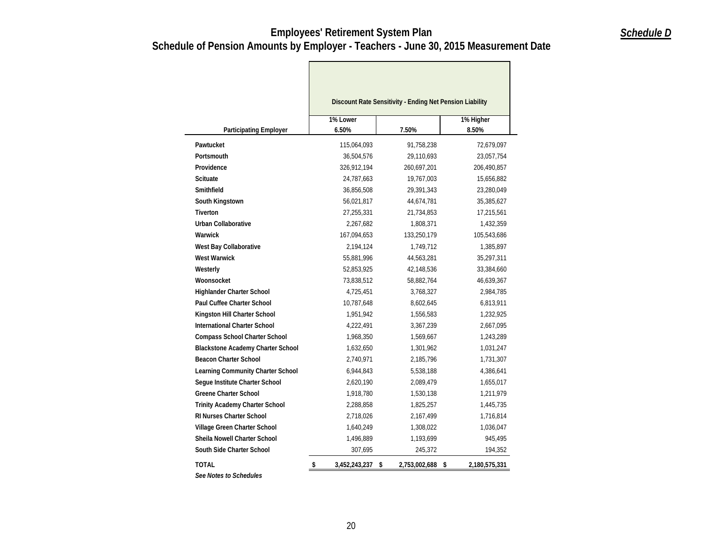Г

| 1% Lower<br>1% Higher<br>6.50%<br>8.50%<br><b>Participating Employer</b><br>7.50%<br>115,064,093<br>Pawtucket<br>91,758,238<br>Portsmouth<br>36,504,576<br>29,110,693<br>Providence<br>326,912,194<br>260,697,201<br><b>Scituate</b><br>24,787,663<br>19,767,003<br>Smithfield<br>36,856,508<br>29,391,343<br>South Kingstown<br>56,021,817<br>44,674,781<br><b>Tiverton</b><br>27,255,331<br>21,734,853<br><b>Urban Collaborative</b><br>2,267,682<br>1,808,371<br>Warwick<br>167,094,653<br>133,250,179<br>West Bay Collaborative<br>2,194,124<br>1,749,712<br><b>West Warwick</b><br>44,563,281<br>55,881,996<br>Westerly<br>52,853,925<br>42,148,536<br>Woonsocket<br>73,838,512<br>58,882,764<br><b>Highlander Charter School</b><br>4,725,451<br>3,768,327<br><b>Paul Cuffee Charter School</b><br>10,787,648<br>8,602,645<br>Kingston Hill Charter School<br>1,951,942<br>1,556,583<br><b>International Charter School</b><br>4,222,491<br>3,367,239<br><b>Compass School Charter School</b><br>1,968,350<br>1,569,667<br><b>Blackstone Academy Charter School</b><br>1,632,650<br>1,301,962<br><b>Beacon Charter School</b><br>2,740,971<br>2,185,796<br>Learning Community Charter School<br>6,944,843<br>5,538,188<br>Seque Institute Charter School<br>2,620,190<br>2,089,479 |             |
|------------------------------------------------------------------------------------------------------------------------------------------------------------------------------------------------------------------------------------------------------------------------------------------------------------------------------------------------------------------------------------------------------------------------------------------------------------------------------------------------------------------------------------------------------------------------------------------------------------------------------------------------------------------------------------------------------------------------------------------------------------------------------------------------------------------------------------------------------------------------------------------------------------------------------------------------------------------------------------------------------------------------------------------------------------------------------------------------------------------------------------------------------------------------------------------------------------------------------------------------------------------------------------------|-------------|
|                                                                                                                                                                                                                                                                                                                                                                                                                                                                                                                                                                                                                                                                                                                                                                                                                                                                                                                                                                                                                                                                                                                                                                                                                                                                                          |             |
|                                                                                                                                                                                                                                                                                                                                                                                                                                                                                                                                                                                                                                                                                                                                                                                                                                                                                                                                                                                                                                                                                                                                                                                                                                                                                          |             |
|                                                                                                                                                                                                                                                                                                                                                                                                                                                                                                                                                                                                                                                                                                                                                                                                                                                                                                                                                                                                                                                                                                                                                                                                                                                                                          | 72,679,097  |
|                                                                                                                                                                                                                                                                                                                                                                                                                                                                                                                                                                                                                                                                                                                                                                                                                                                                                                                                                                                                                                                                                                                                                                                                                                                                                          | 23,057,754  |
|                                                                                                                                                                                                                                                                                                                                                                                                                                                                                                                                                                                                                                                                                                                                                                                                                                                                                                                                                                                                                                                                                                                                                                                                                                                                                          | 206,490,857 |
|                                                                                                                                                                                                                                                                                                                                                                                                                                                                                                                                                                                                                                                                                                                                                                                                                                                                                                                                                                                                                                                                                                                                                                                                                                                                                          | 15,656,882  |
|                                                                                                                                                                                                                                                                                                                                                                                                                                                                                                                                                                                                                                                                                                                                                                                                                                                                                                                                                                                                                                                                                                                                                                                                                                                                                          | 23,280,049  |
|                                                                                                                                                                                                                                                                                                                                                                                                                                                                                                                                                                                                                                                                                                                                                                                                                                                                                                                                                                                                                                                                                                                                                                                                                                                                                          | 35,385,627  |
|                                                                                                                                                                                                                                                                                                                                                                                                                                                                                                                                                                                                                                                                                                                                                                                                                                                                                                                                                                                                                                                                                                                                                                                                                                                                                          | 17,215,561  |
|                                                                                                                                                                                                                                                                                                                                                                                                                                                                                                                                                                                                                                                                                                                                                                                                                                                                                                                                                                                                                                                                                                                                                                                                                                                                                          | 1,432,359   |
|                                                                                                                                                                                                                                                                                                                                                                                                                                                                                                                                                                                                                                                                                                                                                                                                                                                                                                                                                                                                                                                                                                                                                                                                                                                                                          | 105,543,686 |
|                                                                                                                                                                                                                                                                                                                                                                                                                                                                                                                                                                                                                                                                                                                                                                                                                                                                                                                                                                                                                                                                                                                                                                                                                                                                                          | 1,385,897   |
|                                                                                                                                                                                                                                                                                                                                                                                                                                                                                                                                                                                                                                                                                                                                                                                                                                                                                                                                                                                                                                                                                                                                                                                                                                                                                          | 35,297,311  |
|                                                                                                                                                                                                                                                                                                                                                                                                                                                                                                                                                                                                                                                                                                                                                                                                                                                                                                                                                                                                                                                                                                                                                                                                                                                                                          | 33,384,660  |
|                                                                                                                                                                                                                                                                                                                                                                                                                                                                                                                                                                                                                                                                                                                                                                                                                                                                                                                                                                                                                                                                                                                                                                                                                                                                                          | 46,639,367  |
|                                                                                                                                                                                                                                                                                                                                                                                                                                                                                                                                                                                                                                                                                                                                                                                                                                                                                                                                                                                                                                                                                                                                                                                                                                                                                          | 2,984,785   |
|                                                                                                                                                                                                                                                                                                                                                                                                                                                                                                                                                                                                                                                                                                                                                                                                                                                                                                                                                                                                                                                                                                                                                                                                                                                                                          | 6,813,911   |
|                                                                                                                                                                                                                                                                                                                                                                                                                                                                                                                                                                                                                                                                                                                                                                                                                                                                                                                                                                                                                                                                                                                                                                                                                                                                                          | 1,232,925   |
|                                                                                                                                                                                                                                                                                                                                                                                                                                                                                                                                                                                                                                                                                                                                                                                                                                                                                                                                                                                                                                                                                                                                                                                                                                                                                          | 2,667,095   |
|                                                                                                                                                                                                                                                                                                                                                                                                                                                                                                                                                                                                                                                                                                                                                                                                                                                                                                                                                                                                                                                                                                                                                                                                                                                                                          | 1,243,289   |
|                                                                                                                                                                                                                                                                                                                                                                                                                                                                                                                                                                                                                                                                                                                                                                                                                                                                                                                                                                                                                                                                                                                                                                                                                                                                                          | 1,031,247   |
|                                                                                                                                                                                                                                                                                                                                                                                                                                                                                                                                                                                                                                                                                                                                                                                                                                                                                                                                                                                                                                                                                                                                                                                                                                                                                          | 1,731,307   |
|                                                                                                                                                                                                                                                                                                                                                                                                                                                                                                                                                                                                                                                                                                                                                                                                                                                                                                                                                                                                                                                                                                                                                                                                                                                                                          | 4,386,641   |
|                                                                                                                                                                                                                                                                                                                                                                                                                                                                                                                                                                                                                                                                                                                                                                                                                                                                                                                                                                                                                                                                                                                                                                                                                                                                                          | 1,655,017   |
| <b>Greene Charter School</b><br>1,918,780<br>1,530,138                                                                                                                                                                                                                                                                                                                                                                                                                                                                                                                                                                                                                                                                                                                                                                                                                                                                                                                                                                                                                                                                                                                                                                                                                                   | 1,211,979   |
| Trinity Academy Charter School<br>2,288,858<br>1,825,257                                                                                                                                                                                                                                                                                                                                                                                                                                                                                                                                                                                                                                                                                                                                                                                                                                                                                                                                                                                                                                                                                                                                                                                                                                 | 1,445,735   |
| RI Nurses Charter School<br>2,718,026<br>2,167,499                                                                                                                                                                                                                                                                                                                                                                                                                                                                                                                                                                                                                                                                                                                                                                                                                                                                                                                                                                                                                                                                                                                                                                                                                                       | 1,716,814   |
| Village Green Charter School<br>1,640,249<br>1,308,022                                                                                                                                                                                                                                                                                                                                                                                                                                                                                                                                                                                                                                                                                                                                                                                                                                                                                                                                                                                                                                                                                                                                                                                                                                   | 1,036,047   |
| Sheila Nowell Charter School<br>1,496,889<br>1,193,699                                                                                                                                                                                                                                                                                                                                                                                                                                                                                                                                                                                                                                                                                                                                                                                                                                                                                                                                                                                                                                                                                                                                                                                                                                   | 945,495     |
| South Side Charter School<br>307,695<br>245,372                                                                                                                                                                                                                                                                                                                                                                                                                                                                                                                                                                                                                                                                                                                                                                                                                                                                                                                                                                                                                                                                                                                                                                                                                                          | 194,352     |
| <b>TOTAL</b><br>\$<br>\$<br>3,452,243,237<br>2,753,002,688<br>\$<br>2,180,575,331                                                                                                                                                                                                                                                                                                                                                                                                                                                                                                                                                                                                                                                                                                                                                                                                                                                                                                                                                                                                                                                                                                                                                                                                        |             |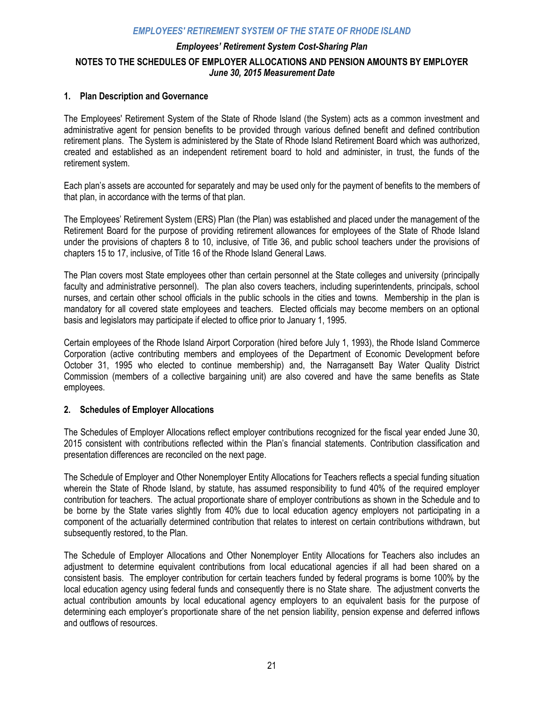### *Employees' Retirement System Cost-Sharing Plan*  **NOTES TO THE SCHEDULES OF EMPLOYER ALLOCATIONS AND PENSION AMOUNTS BY EMPLOYER**  *June 30, 2015 Measurement Date*

#### **1. Plan Description and Governance**

The Employees' Retirement System of the State of Rhode Island (the System) acts as a common investment and administrative agent for pension benefits to be provided through various defined benefit and defined contribution retirement plans. The System is administered by the State of Rhode Island Retirement Board which was authorized, created and established as an independent retirement board to hold and administer, in trust, the funds of the retirement system.

Each plan's assets are accounted for separately and may be used only for the payment of benefits to the members of that plan, in accordance with the terms of that plan.

The Employees' Retirement System (ERS) Plan (the Plan) was established and placed under the management of the Retirement Board for the purpose of providing retirement allowances for employees of the State of Rhode Island under the provisions of chapters 8 to 10, inclusive, of Title 36, and public school teachers under the provisions of chapters 15 to 17, inclusive, of Title 16 of the Rhode Island General Laws.

The Plan covers most State employees other than certain personnel at the State colleges and university (principally faculty and administrative personnel). The plan also covers teachers, including superintendents, principals, school nurses, and certain other school officials in the public schools in the cities and towns. Membership in the plan is mandatory for all covered state employees and teachers. Elected officials may become members on an optional basis and legislators may participate if elected to office prior to January 1, 1995.

Certain employees of the Rhode Island Airport Corporation (hired before July 1, 1993), the Rhode Island Commerce Corporation (active contributing members and employees of the Department of Economic Development before October 31, 1995 who elected to continue membership) and, the Narragansett Bay Water Quality District Commission (members of a collective bargaining unit) are also covered and have the same benefits as State employees.

#### **2. Schedules of Employer Allocations**

The Schedules of Employer Allocations reflect employer contributions recognized for the fiscal year ended June 30, 2015 consistent with contributions reflected within the Plan's financial statements. Contribution classification and presentation differences are reconciled on the next page.

The Schedule of Employer and Other Nonemployer Entity Allocations for Teachers reflects a special funding situation wherein the State of Rhode Island, by statute, has assumed responsibility to fund 40% of the required employer contribution for teachers. The actual proportionate share of employer contributions as shown in the Schedule and to be borne by the State varies slightly from 40% due to local education agency employers not participating in a component of the actuarially determined contribution that relates to interest on certain contributions withdrawn, but subsequently restored, to the Plan.

The Schedule of Employer Allocations and Other Nonemployer Entity Allocations for Teachers also includes an adjustment to determine equivalent contributions from local educational agencies if all had been shared on a consistent basis. The employer contribution for certain teachers funded by federal programs is borne 100% by the local education agency using federal funds and consequently there is no State share. The adjustment converts the actual contribution amounts by local educational agency employers to an equivalent basis for the purpose of determining each employer's proportionate share of the net pension liability, pension expense and deferred inflows and outflows of resources.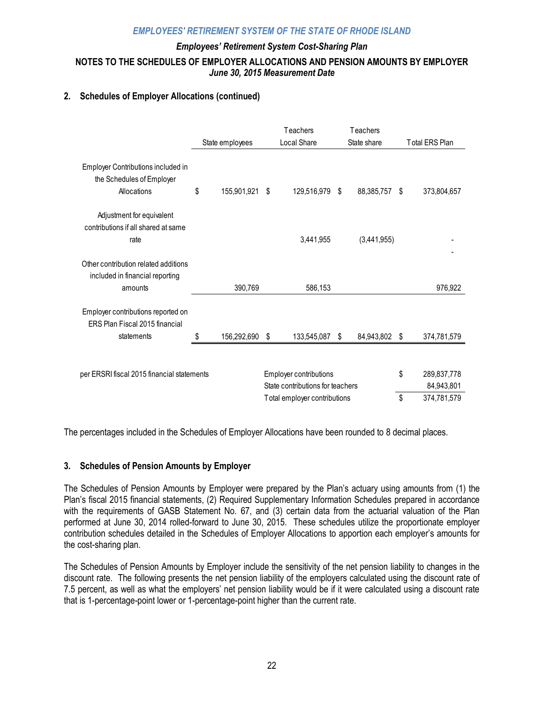### *Employees' Retirement System Cost-Sharing Plan*  **NOTES TO THE SCHEDULES OF EMPLOYER ALLOCATIONS AND PENSION AMOUNTS BY EMPLOYER**  *June 30, 2015 Measurement Date*

### **2. Schedules of Employer Allocations (continued)**

|                                                                      | State employees |                        |                                  | Teachers<br>Local Share      |     | Teachers<br>State share | <b>Total ERS Plan</b> |             |
|----------------------------------------------------------------------|-----------------|------------------------|----------------------------------|------------------------------|-----|-------------------------|-----------------------|-------------|
|                                                                      |                 |                        |                                  |                              |     |                         |                       |             |
| Employer Contributions included in<br>the Schedules of Employer      |                 |                        |                                  |                              |     |                         |                       |             |
| Allocations                                                          | \$              | 155,901,921 \$         |                                  | 129,516,979                  | -\$ | 88,385,757              | \$                    | 373,804,657 |
| Adjustment for equivalent<br>contributions if all shared at same     |                 |                        |                                  |                              |     |                         |                       |             |
| rate                                                                 |                 |                        |                                  | 3,441,955                    |     | (3,441,955)             |                       |             |
|                                                                      |                 |                        |                                  |                              |     |                         |                       |             |
| Other contribution related additions                                 |                 |                        |                                  |                              |     |                         |                       |             |
| included in financial reporting                                      |                 |                        |                                  |                              |     |                         |                       |             |
| amounts                                                              |                 | 390,769                |                                  | 586,153                      |     |                         |                       | 976,922     |
| Employer contributions reported on<br>ERS Plan Fiscal 2015 financial |                 |                        |                                  |                              |     |                         |                       |             |
| statements                                                           | S               | 156,292,690 \$         |                                  | 133,545,087                  | \$  | 84,943,802              | \$                    | 374,781,579 |
|                                                                      |                 |                        |                                  |                              |     |                         |                       |             |
| per ERSRI fiscal 2015 financial statements                           |                 | Employer contributions |                                  |                              |     | \$                      | 289,837,778           |             |
|                                                                      |                 |                        | State contributions for teachers |                              |     |                         |                       | 84,943,801  |
|                                                                      |                 |                        |                                  | Total employer contributions |     |                         | \$                    | 374,781,579 |

The percentages included in the Schedules of Employer Allocations have been rounded to 8 decimal places.

### **3. Schedules of Pension Amounts by Employer**

The Schedules of Pension Amounts by Employer were prepared by the Plan's actuary using amounts from (1) the Plan's fiscal 2015 financial statements, (2) Required Supplementary Information Schedules prepared in accordance with the requirements of GASB Statement No. 67, and (3) certain data from the actuarial valuation of the Plan performed at June 30, 2014 rolled-forward to June 30, 2015. These schedules utilize the proportionate employer contribution schedules detailed in the Schedules of Employer Allocations to apportion each employer's amounts for the cost-sharing plan.

The Schedules of Pension Amounts by Employer include the sensitivity of the net pension liability to changes in the discount rate. The following presents the net pension liability of the employers calculated using the discount rate of 7.5 percent, as well as what the employers' net pension liability would be if it were calculated using a discount rate that is 1-percentage-point lower or 1-percentage-point higher than the current rate.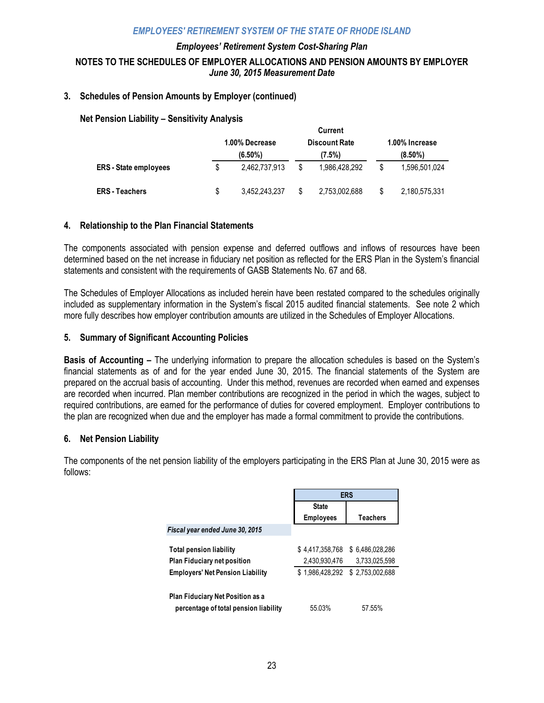### *Employees' Retirement System Cost-Sharing Plan*  **NOTES TO THE SCHEDULES OF EMPLOYER ALLOCATIONS AND PENSION AMOUNTS BY EMPLOYER**  *June 30, 2015 Measurement Date*

### **3. Schedules of Pension Amounts by Employer (continued)**

#### **Net Pension Liability – Sensitivity Analysis**

|                              | <b>UULLEIIL</b> |                |  |                      |    |                |  |  |  |  |
|------------------------------|-----------------|----------------|--|----------------------|----|----------------|--|--|--|--|
|                              |                 | 1.00% Decrease |  | <b>Discount Rate</b> |    | 1.00% Increase |  |  |  |  |
|                              |                 | $(6.50\%)$     |  | (7.5%)               |    | $(8.50\%)$     |  |  |  |  |
| <b>ERS</b> - State employees | S               | 2.462.737.913  |  | 1,986,428,292        | \$ | 1.596.501.024  |  |  |  |  |
| <b>ERS - Teachers</b>        | S               | 3,452,243,237  |  | 2,753,002,688        | \$ | 2,180,575,331  |  |  |  |  |

**Current**

#### **4. Relationship to the Plan Financial Statements**

The components associated with pension expense and deferred outflows and inflows of resources have been determined based on the net increase in fiduciary net position as reflected for the ERS Plan in the System's financial statements and consistent with the requirements of GASB Statements No. 67 and 68.

The Schedules of Employer Allocations as included herein have been restated compared to the schedules originally included as supplementary information in the System's fiscal 2015 audited financial statements. See note 2 which more fully describes how employer contribution amounts are utilized in the Schedules of Employer Allocations.

#### **5. Summary of Significant Accounting Policies**

**Basis of Accounting –** The underlying information to prepare the allocation schedules is based on the System's financial statements as of and for the year ended June 30, 2015. The financial statements of the System are prepared on the accrual basis of accounting. Under this method, revenues are recorded when earned and expenses are recorded when incurred. Plan member contributions are recognized in the period in which the wages, subject to required contributions, are earned for the performance of duties for covered employment. Employer contributions to the plan are recognized when due and the employer has made a formal commitment to provide the contributions.

#### **6. Net Pension Liability**

The components of the net pension liability of the employers participating in the ERS Plan at June 30, 2015 were as follows:

|                                                                           | <b>ERS</b>       |                 |  |  |  |
|---------------------------------------------------------------------------|------------------|-----------------|--|--|--|
|                                                                           | <b>State</b>     |                 |  |  |  |
|                                                                           | <b>Employees</b> | Teachers        |  |  |  |
| Fiscal year ended June 30, 2015                                           |                  |                 |  |  |  |
| <b>Total pension liability</b>                                            | \$4.417.358.768  | \$6.486.028.286 |  |  |  |
| <b>Plan Fiduciary net position</b>                                        | 2,430,930,476    | 3.733.025.598   |  |  |  |
| <b>Employers' Net Pension Liability</b>                                   | \$1.986.428.292  | \$2.753.002.688 |  |  |  |
| Plan Fiduciary Net Position as a<br>percentage of total pension liability | 55.03%           | 57.55%          |  |  |  |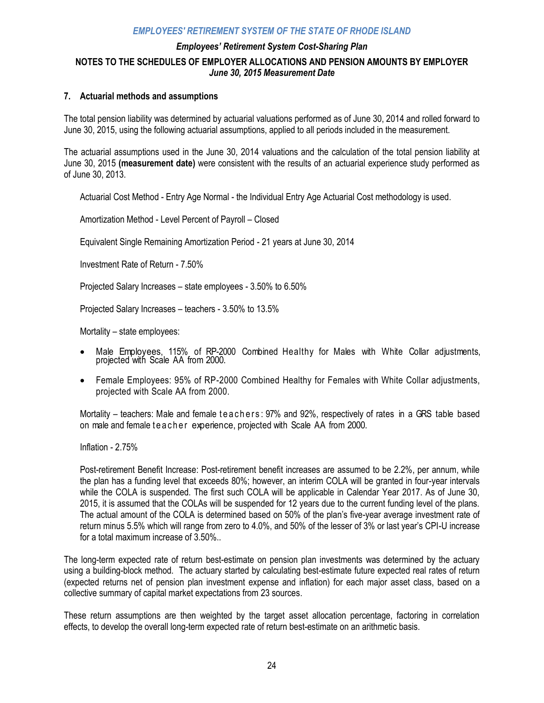### *Employees' Retirement System Cost-Sharing Plan*  **NOTES TO THE SCHEDULES OF EMPLOYER ALLOCATIONS AND PENSION AMOUNTS BY EMPLOYER**  *June 30, 2015 Measurement Date*

#### **7. Actuarial methods and assumptions**

The total pension liability was determined by actuarial valuations performed as of June 30, 2014 and rolled forward to June 30, 2015, using the following actuarial assumptions, applied to all periods included in the measurement.

The actuarial assumptions used in the June 30, 2014 valuations and the calculation of the total pension liability at June 30, 2015 **(measurement date)** were consistent with the results of an actuarial experience study performed as of June 30, 2013.

Actuarial Cost Method - Entry Age Normal - the Individual Entry Age Actuarial Cost methodology is used.

Amortization Method - Level Percent of Payroll – Closed

Equivalent Single Remaining Amortization Period - 21 years at June 30, 2014

Investment Rate of Return - 7.50%

Projected Salary Increases – state employees - 3.50% to 6.50%

Projected Salary Increases – teachers - 3.50% to 13.5%

Mortality – state employees:

- Male Employees, 115% of RP-2000 Combined Healthy for Males with White Collar adjustments, projected with Scale AA from 2000.
- Female Employees: 95% of RP-2000 Combined Healthy for Females with White Collar adjustments, projected with Scale AA from 2000.

Mortality – teachers: Male and female teachers: 97% and 92%, respectively of rates in a GRS table based on male and female te a cher experience, projected with Scale AA from 2000.

Inflation - 2.75%

Post-retirement Benefit Increase: Post-retirement benefit increases are assumed to be 2.2%, per annum, while the plan has a funding level that exceeds 80%; however, an interim COLA will be granted in four-year intervals while the COLA is suspended. The first such COLA will be applicable in Calendar Year 2017. As of June 30, 2015, it is assumed that the COLAs will be suspended for 12 years due to the current funding level of the plans. The actual amount of the COLA is determined based on 50% of the plan's five-year average investment rate of return minus 5.5% which will range from zero to 4.0%, and 50% of the lesser of 3% or last year's CPI-U increase for a total maximum increase of 3.50%..

The long-term expected rate of return best-estimate on pension plan investments was determined by the actuary using a building-block method. The actuary started by calculating best-estimate future expected real rates of return (expected returns net of pension plan investment expense and inflation) for each major asset class, based on a collective summary of capital market expectations from 23 sources.

These return assumptions are then weighted by the target asset allocation percentage, factoring in correlation effects, to develop the overall long-term expected rate of return best-estimate on an arithmetic basis.